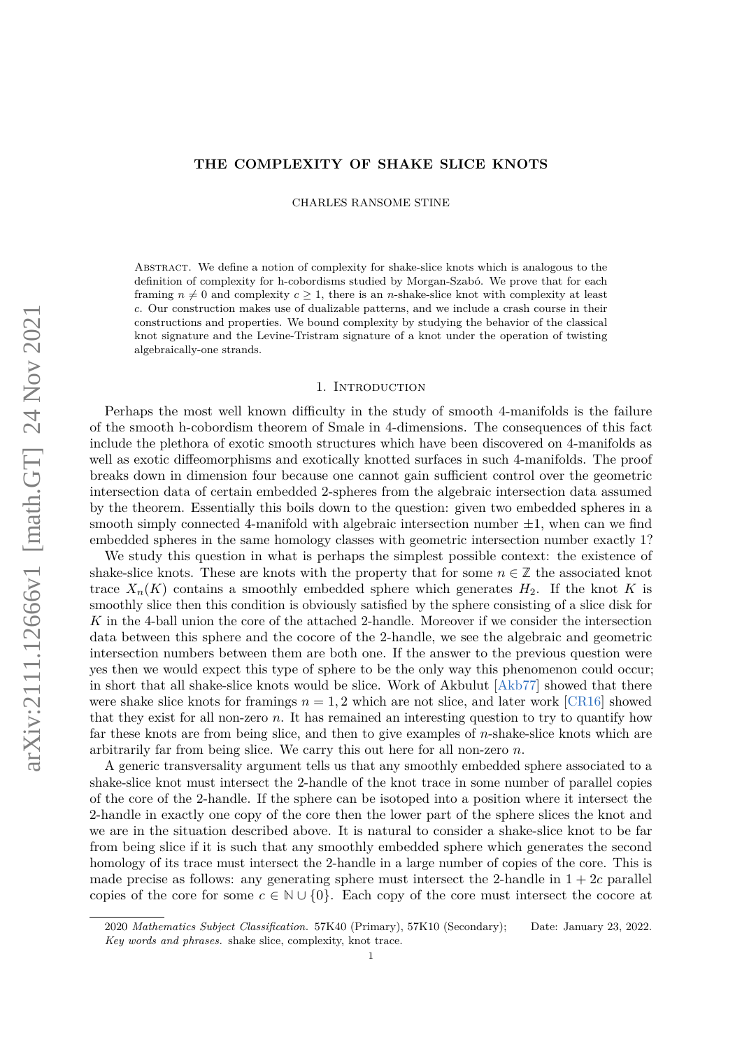## **THE COMPLEXITY OF SHAKE SLICE KNOTS**

CHARLES RANSOME STINE

Abstract. We define a notion of complexity for shake-slice knots which is analogous to the definition of complexity for h-cobordisms studied by Morgan-Szabó. We prove that for each framing  $n \neq 0$  and complexity  $c \geq 1$ , there is an *n*-shake-slice knot with complexity at least *c*. Our construction makes use of dualizable patterns, and we include a crash course in their constructions and properties. We bound complexity by studying the behavior of the classical knot signature and the Levine-Tristram signature of a knot under the operation of twisting algebraically-one strands.

### 1. INTRODUCTION

Perhaps the most well known difficulty in the study of smooth 4-manifolds is the failure of the smooth h-cobordism theorem of Smale in 4-dimensions. The consequences of this fact include the plethora of exotic smooth structures which have been discovered on 4-manifolds as well as exotic diffeomorphisms and exotically knotted surfaces in such 4-manifolds. The proof breaks down in dimension four because one cannot gain sufficient control over the geometric intersection data of certain embedded 2-spheres from the algebraic intersection data assumed by the theorem. Essentially this boils down to the question: given two embedded spheres in a smooth simply connected 4-manifold with algebraic intersection number  $\pm 1$ , when can we find embedded spheres in the same homology classes with geometric intersection number exactly 1?

We study this question in what is perhaps the simplest possible context: the existence of shake-slice knots. These are knots with the property that for some  $n \in \mathbb{Z}$  the associated knot trace  $X_n(K)$  contains a smoothly embedded sphere which generates  $H_2$ . If the knot K is smoothly slice then this condition is obviously satisfied by the sphere consisting of a slice disk for *K* in the 4-ball union the core of the attached 2-handle. Moreover if we consider the intersection data between this sphere and the cocore of the 2-handle, we see the algebraic and geometric intersection numbers between them are both one. If the answer to the previous question were yes then we would expect this type of sphere to be the only way this phenomenon could occur; in short that all shake-slice knots would be slice. Work of Akbulut [\[Akb77\]](#page-31-0) showed that there were shake slice knots for framings  $n = 1, 2$  which are not slice, and later work [\[CR16\]](#page-31-1) showed that they exist for all non-zero *n*. It has remained an interesting question to try to quantify how far these knots are from being slice, and then to give examples of *n*-shake-slice knots which are arbitrarily far from being slice. We carry this out here for all non-zero *n*.

A generic transversality argument tells us that any smoothly embedded sphere associated to a shake-slice knot must intersect the 2-handle of the knot trace in some number of parallel copies of the core of the 2-handle. If the sphere can be isotoped into a position where it intersect the 2-handle in exactly one copy of the core then the lower part of the sphere slices the knot and we are in the situation described above. It is natural to consider a shake-slice knot to be far from being slice if it is such that any smoothly embedded sphere which generates the second homology of its trace must intersect the 2-handle in a large number of copies of the core. This is made precise as follows: any generating sphere must intersect the 2-handle in  $1 + 2c$  parallel copies of the core for some  $c \in \mathbb{N} \cup \{0\}$ . Each copy of the core must intersect the cocore at

<sup>2020</sup> *Mathematics Subject Classification.* 57K40 (Primary), 57K10 (Secondary); Date: January 23, 2022. *Key words and phrases.* shake slice, complexity, knot trace.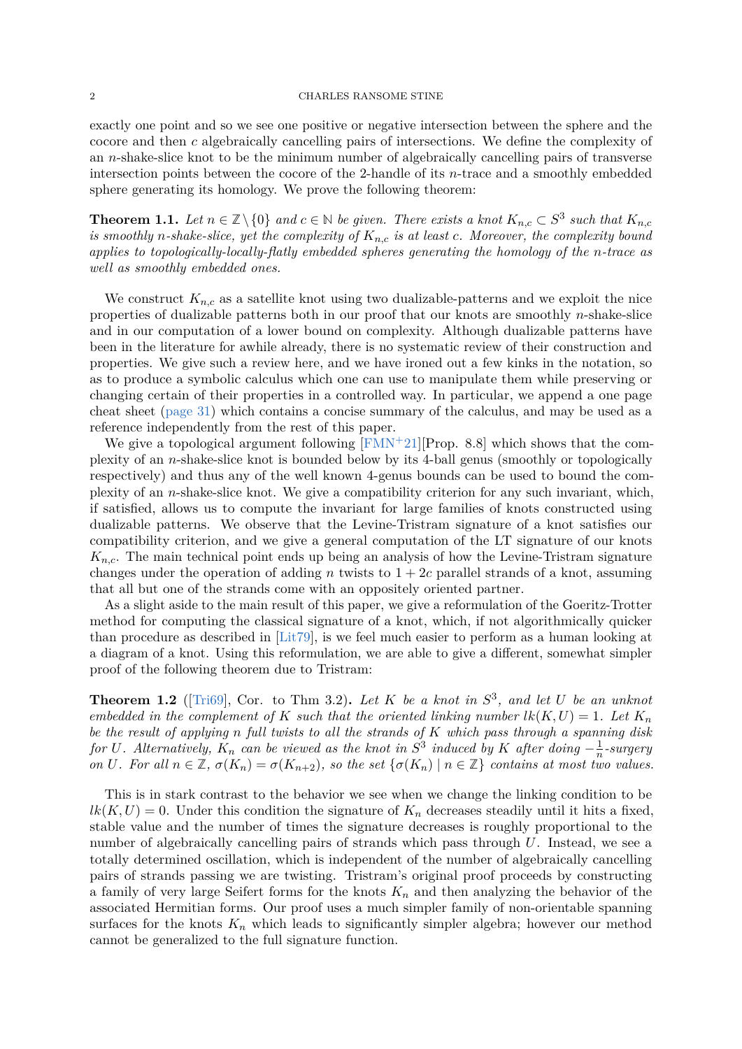### 2 CHARLES RANSOME STINE

exactly one point and so we see one positive or negative intersection between the sphere and the cocore and then *c* algebraically cancelling pairs of intersections. We define the complexity of an *n*-shake-slice knot to be the minimum number of algebraically cancelling pairs of transverse intersection points between the cocore of the 2-handle of its *n*-trace and a smoothly embedded sphere generating its homology. We prove the following theorem:

<span id="page-1-0"></span>**Theorem 1.1.** Let  $n \in \mathbb{Z} \setminus \{0\}$  and  $c \in \mathbb{N}$  be given. There exists a knot  $K_{n,c} \subset S^3$  such that  $K_{n,c}$ *is smoothly n-shake-slice, yet the complexity of Kn,c is at least c. Moreover, the complexity bound applies to topologically-locally-flatly embedded spheres generating the homology of the n-trace as well as smoothly embedded ones.*

We construct  $K_{n,c}$  as a satellite knot using two dualizable-patterns and we exploit the nice properties of dualizable patterns both in our proof that our knots are smoothly *n*-shake-slice and in our computation of a lower bound on complexity. Although dualizable patterns have been in the literature for awhile already, there is no systematic review of their construction and properties. We give such a review here, and we have ironed out a few kinks in the notation, so as to produce a symbolic calculus which one can use to manipulate them while preserving or changing certain of their properties in a controlled way. In particular, we append a one page cheat sheet [\(page 31\)](#page-30-0) which contains a concise summary of the calculus, and may be used as a reference independently from the rest of this paper.

We give a topological argument following  $[FMN^+21][Prop. 8.8]$  $[FMN^+21][Prop. 8.8]$  which shows that the complexity of an *n*-shake-slice knot is bounded below by its 4-ball genus (smoothly or topologically respectively) and thus any of the well known 4-genus bounds can be used to bound the complexity of an *n*-shake-slice knot. We give a compatibility criterion for any such invariant, which, if satisfied, allows us to compute the invariant for large families of knots constructed using dualizable patterns. We observe that the Levine-Tristram signature of a knot satisfies our compatibility criterion, and we give a general computation of the LT signature of our knots *Kn,c*. The main technical point ends up being an analysis of how the Levine-Tristram signature changes under the operation of adding *n* twists to  $1 + 2c$  parallel strands of a knot, assuming that all but one of the strands come with an oppositely oriented partner.

As a slight aside to the main result of this paper, we give a reformulation of the Goeritz-Trotter method for computing the classical signature of a knot, which, if not algorithmically quicker than procedure as described in [\[Lit79\]](#page-31-3), is we feel much easier to perform as a human looking at a diagram of a knot. Using this reformulation, we are able to give a different, somewhat simpler proof of the following theorem due to Tristram:

**Theorem 1.2** ([\[Tri69\]](#page-31-4), Cor. to Thm 3.2). Let K be a knot in  $S^3$ , and let U be an unknot *embedded in the complement of K such that the oriented linking number*  $lk(K, U) = 1$ *. Let*  $K_n$ *be the result of applying n full twists to all the strands of K which pass through a spanning disk for U.* Alternatively,  $K_n$  *can be viewed as the knot in*  $S^3$  *induced by*  $K$  *after doing*  $-\frac{1}{n}$  $\frac{1}{n}$ -surgery on U. For all  $n \in \mathbb{Z}$ ,  $\sigma(K_n) = \sigma(K_{n+2})$ , so the set  $\{\sigma(K_n) \mid n \in \mathbb{Z}\}$  contains at most two values.

This is in stark contrast to the behavior we see when we change the linking condition to be  $lk(K, U) = 0$ . Under this condition the signature of  $K_n$  decreases steadily until it hits a fixed, stable value and the number of times the signature decreases is roughly proportional to the number of algebraically cancelling pairs of strands which pass through *U*. Instead, we see a totally determined oscillation, which is independent of the number of algebraically cancelling pairs of strands passing we are twisting. Tristram's original proof proceeds by constructing a family of very large Seifert forms for the knots *K<sup>n</sup>* and then analyzing the behavior of the associated Hermitian forms. Our proof uses a much simpler family of non-orientable spanning surfaces for the knots  $K_n$  which leads to significantly simpler algebra; however our method cannot be generalized to the full signature function.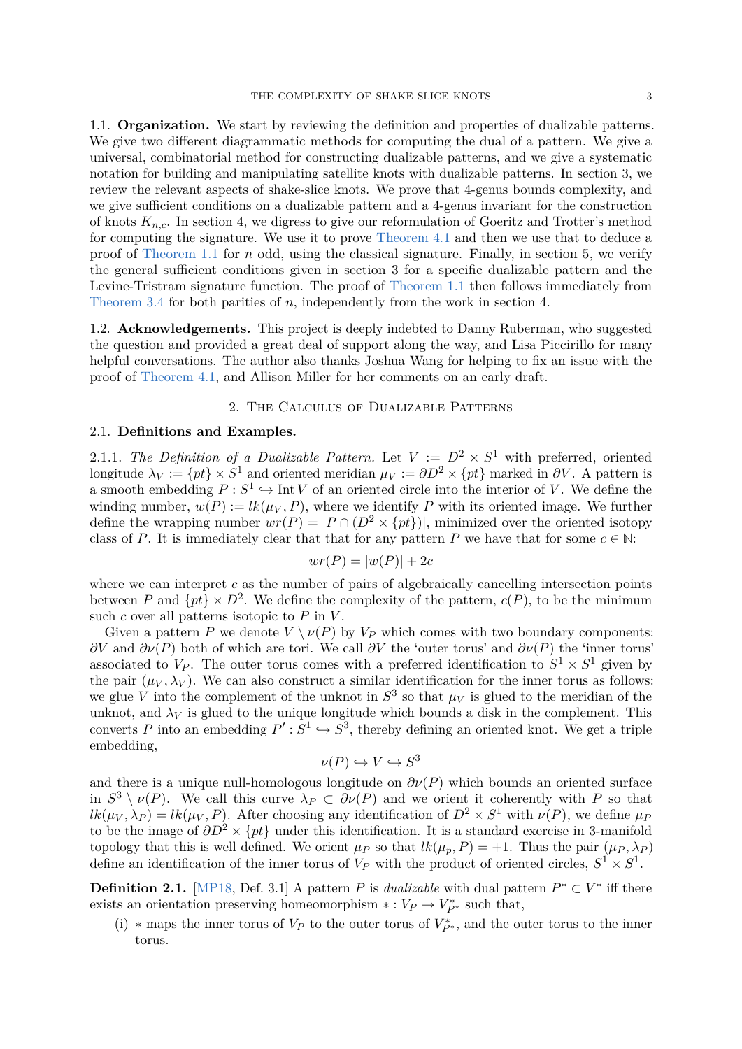1.1. **Organization.** We start by reviewing the definition and properties of dualizable patterns. We give two different diagrammatic methods for computing the dual of a pattern. We give a universal, combinatorial method for constructing dualizable patterns, and we give a systematic notation for building and manipulating satellite knots with dualizable patterns. In section 3, we review the relevant aspects of shake-slice knots. We prove that 4-genus bounds complexity, and we give sufficient conditions on a dualizable pattern and a 4-genus invariant for the construction of knots *Kn,c*. In section 4, we digress to give our reformulation of Goeritz and Trotter's method for computing the signature. We use it to prove [Theorem 4.1](#page-15-0) and then we use that to deduce a proof of [Theorem 1.1](#page-1-0) for *n* odd, using the classical signature. Finally, in section 5, we verify the general sufficient conditions given in section 3 for a specific dualizable pattern and the Levine-Tristram signature function. The proof of [Theorem 1.1](#page-1-0) then follows immediately from [Theorem 3.4](#page-14-0) for both parities of *n*, independently from the work in section 4.

1.2. **Acknowledgements.** This project is deeply indebted to Danny Ruberman, who suggested the question and provided a great deal of support along the way, and Lisa Piccirillo for many helpful conversations. The author also thanks Joshua Wang for helping to fix an issue with the proof of [Theorem 4.1,](#page-15-0) and Allison Miller for her comments on an early draft.

## 2. The Calculus of Dualizable Patterns

## 2.1. **Definitions and Examples.**

2.1.1. The Definition of a Dualizable Pattern. Let  $V := D^2 \times S^1$  with preferred, oriented longitude  $\lambda_V := \{pt\} \times S^1$  and oriented meridian  $\mu_V := \partial D^2 \times \{pt\}$  marked in  $\partial V$ . A pattern is a smooth embedding  $P: S^1 \hookrightarrow \text{Int } V$  of an oriented circle into the interior of *V*. We define the winding number,  $w(P) := \text{lk}(\mu_V, P)$ , where we identify P with its oriented image. We further define the wrapping number  $wr(P) = |P \cap (D^2 \times \{pt\})|$ , minimized over the oriented isotopy class of *P*. It is immediately clear that that for any pattern *P* we have that for some  $c \in \mathbb{N}$ :

$$
wr(P) = |w(P)| + 2c
$$

where we can interpret *c* as the number of pairs of algebraically cancelling intersection points between *P* and  $\{pt\} \times D^2$ . We define the complexity of the pattern,  $c(P)$ , to be the minimum such *c* over all patterns isotopic to *P* in *V* .

Given a pattern *P* we denote  $V \setminus \nu(P)$  by  $V_P$  which comes with two boundary components: *∂V* and *∂ν*(*P*) both of which are tori. We call *∂V* the 'outer torus' and *∂ν*(*P*) the 'inner torus' associated to  $V_P$ . The outer torus comes with a preferred identification to  $S^1 \times S^1$  given by the pair  $(\mu_V, \lambda_V)$ . We can also construct a similar identification for the inner torus as follows: we glue *V* into the complement of the unknot in  $S^3$  so that  $\mu_V$  is glued to the meridian of the unknot, and  $\lambda_V$  is glued to the unique longitude which bounds a disk in the complement. This converts *P* into an embedding  $P' : S^1 \hookrightarrow S^3$ , thereby defining an oriented knot. We get a triple embedding,

$$
\nu(P) \hookrightarrow V \hookrightarrow S^3
$$

and there is a unique null-homologous longitude on  $\partial \nu(P)$  which bounds an oriented surface in  $S^3 \setminus \nu(P)$ . We call this curve  $\lambda_P \subset \partial \nu(P)$  and we orient it coherently with P so that  $lk(\mu_V, \lambda_P) = lk(\mu_V, P)$ . After choosing any identification of  $D^2 \times S^1$  with  $\nu(P)$ , we define  $\mu_P$ to be the image of  $\partial D^2 \times \{pt\}$  under this identification. It is a standard exercise in 3-manifold topology that this is well defined. We orient  $\mu_P$  so that  $lk(\mu_p, P) = +1$ . Thus the pair  $(\mu_P, \lambda_P)$ define an identification of the inner torus of  $V_P$  with the product of oriented circles,  $S^1 \times S^1$ .

**Definition 2.1.** [\[MP18,](#page-31-5) Def. 3.1] A pattern *P* is *dualizable* with dual pattern  $P^* \subset V^*$  iff there exists an orientation preserving homeomorphism  $* : V_P \to V_{P^*}^*$  such that,

(i) \* maps the inner torus of  $V_P$  to the outer torus of  $V_{P^*}^*$ , and the outer torus to the inner torus.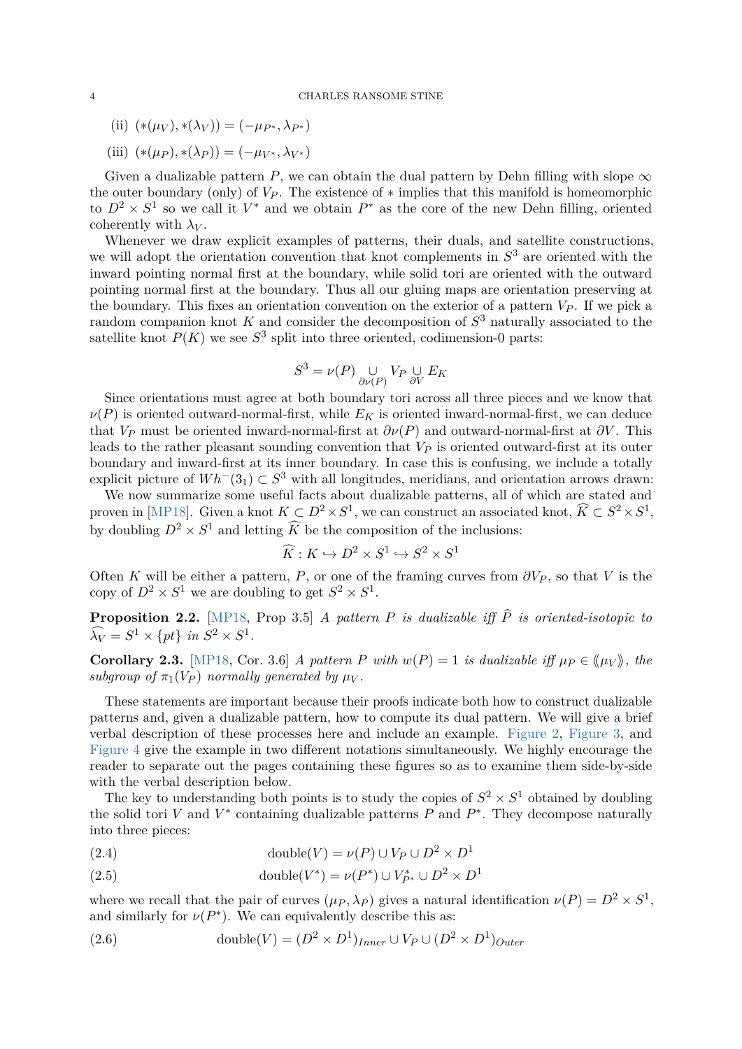- (ii)  $(*(\mu_V), *(\lambda_V)) = (-\mu_{P^*}, \lambda_{P^*})$
- $(iii)$   $(*(\mu_P), *(\lambda_P)) = (-\mu_{V^*}, \lambda_{V^*})$

Given a dualizable pattern *P*, we can obtain the dual pattern by Dehn filling with slope  $\infty$ the outer boundary (only) of  $V_P$ . The existence of  $*$  implies that this manifold is homeomorphic to  $D^2 \times S^1$  so we call it  $V^*$  and we obtain  $P^*$  as the core of the new Dehn filling, oriented coherently with  $\lambda_V$ .

Whenever we draw explicit examples of patterns, their duals, and satellite constructions, we will adopt the orientation convention that knot complements in *S* <sup>3</sup> are oriented with the inward pointing normal first at the boundary, while solid tori are oriented with the outward pointing normal first at the boundary. Thus all our gluing maps are orientation preserving at the boundary. This fixes an orientation convention on the exterior of a pattern  $V_P$ . If we pick a random companion knot *K* and consider the decomposition of *S* <sup>3</sup> naturally associated to the satellite knot  $P(K)$  we see  $S^3$  split into three oriented, codimension-0 parts:

$$
S^3 = \nu(P) \underset{\partial \nu(P)}{\cup} V_P \underset{\partial V}{\cup} E_K
$$

Since orientations must agree at both boundary tori across all three pieces and we know that  $\nu(P)$  is oriented outward-normal-first, while  $E_K$  is oriented inward-normal-first, we can deduce that  $V_P$  must be oriented inward-normal-first at  $\partial v(P)$  and outward-normal-first at  $\partial V$ . This leads to the rather pleasant sounding convention that *V<sup>P</sup>* is oriented outward-first at its outer boundary and inward-first at its inner boundary. In case this is confusing, we include a totally explicit picture of  $Wh^-(3_1) \subset S^3$  with all longitudes, meridians, and orientation arrows drawn:

We now summarize some useful facts about dualizable patterns, all of which are stated and proven in [\[MP18\]](#page-31-5). Given a knot  $K \subset D^2 \times S^1$ , we can construct an associated knot,  $\widehat{K} \subset S^2 \times S^1$ , by doubling  $D^2 \times S^1$  and letting  $\widehat{K}$  be the composition of the inclusions:

$$
\widehat{K}: K \hookrightarrow D^2 \times S^1 \hookrightarrow S^2 \times S^1
$$

Often *K* will be either a pattern, *P*, or one of the framing curves from  $\partial V_P$ , so that *V* is the copy of  $D^2 \times S^1$  we are doubling to get  $S^2 \times S^1$ .

<span id="page-3-0"></span>**Proposition 2.2.** [\[MP18,](#page-31-5) Prop 3.5] *A pattern P is dualizable iff*  $\hat{P}$  *is oriented-isotopic to*  $\widehat{\lambda_V} = S^1 \times \{pt\}$  *in*  $S^2 \times S^1$ .

**Corollary 2.3.** [\[MP18,](#page-31-5) Cor. 3.6] *A pattern P with*  $w(P) = 1$  *is dualizable iff*  $\mu_P \in \langle \mu_V \rangle$ , the *subgroup of*  $\pi_1(V_P)$  *normally generated by*  $\mu_V$ .

These statements are important because their proofs indicate both how to construct dualizable patterns and, given a dualizable pattern, how to compute its dual pattern. We will give a brief verbal description of these processes here and include an example. [Figure 2,](#page-6-0) [Figure 3,](#page-7-0) and [Figure 4](#page-8-0) give the example in two different notations simultaneously. We highly encourage the reader to separate out the pages containing these figures so as to examine them side-by-side with the verbal description below.

The key to understanding both points is to study the copies of  $S^2 \times S^1$  obtained by doubling the solid tori *V* and  $V^*$  containing dualizable patterns  $P$  and  $P^*$ . They decompose naturally into three pieces:

(2.4) 
$$
\text{double}(V) = \nu(P) \cup V_P \cup D^2 \times D^1
$$

(2.5) 
$$
\text{double}(V^*) = \nu(P^*) \cup V^*_{P^*} \cup D^2 \times D^1
$$

where we recall that the pair of curves  $(\mu_P, \lambda_P)$  gives a natural identification  $\nu(P) = D^2 \times S^1$ , and similarly for  $\nu(P^*)$ . We can equivalently describe this as:

(2.6) double(V) = 
$$
(D^2 \times D^1)_{Inner} \cup V_P \cup (D^2 \times D^1)_{Outer}
$$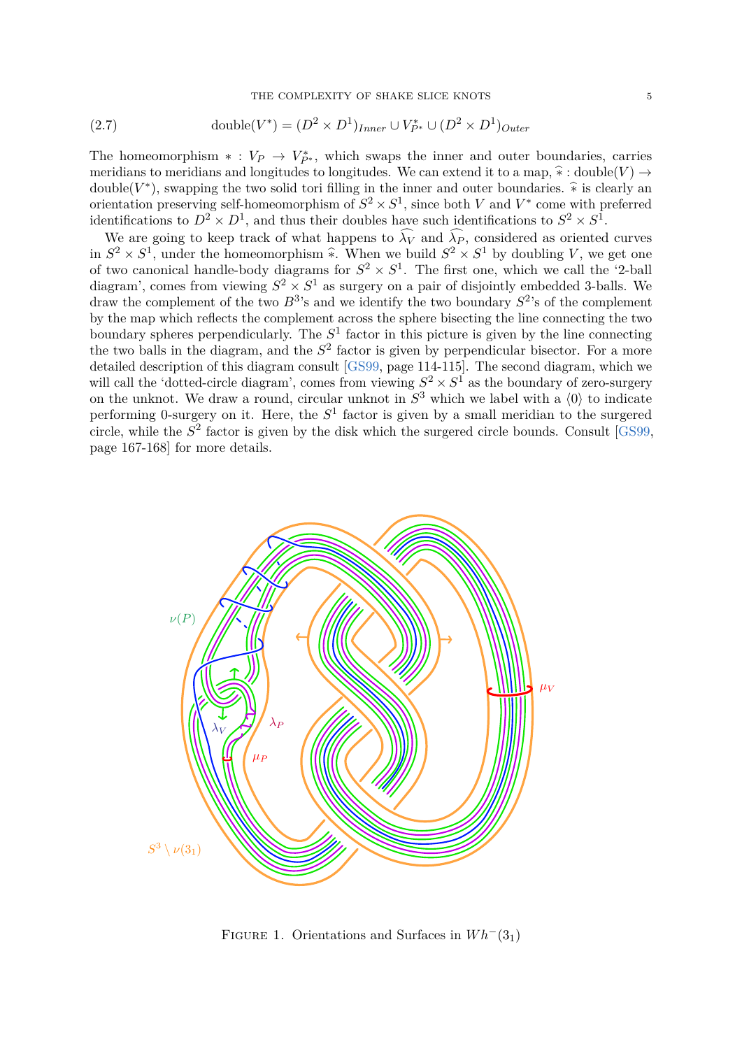(2.7) double
$$
(V^*) = (D^2 \times D^1)_{Inner} \cup V^*_{P^*} \cup (D^2 \times D^1)_{Outer}
$$

The homeomorphism  $* : V_P \to V_{P^*}^*$ , which swaps the inner and outer boundaries, carries meridians to meridians and longitudes to longitudes. We can extend it to a map,  $\hat{*}$ : double $(V) \rightarrow$ double( $V^*$ ), swapping the two solid tori filling in the inner and outer boundaries.  $\hat{*}$  is clearly an extending the two solid by expression of  $G^2 \times G^1$  since held  $V$  and  $V^*$  can extend unchanged orientation preserving self-homeomorphism of  $S^2 \times S^1$ , since both *V* and  $V^*$  come with preferred identifications to  $D^2 \times D^1$ , and thus their doubles have such identifications to  $S^2 \times S^1$ .

We are going to keep track of what happens to  $\widehat{\lambda_V}$  and  $\widehat{\lambda_P}$ , considered as oriented curves in  $S^2 \times S^1$ , under the homeomorphism  $\hat{\ast}$ . When we build  $S^2 \times S^1$  by doubling *V*, we get one of two canonical handle-body diagrams for  $S^2 \times S^1$ . The first one, which we call the '2-ball diagram', comes from viewing  $S^2 \times S^1$  as surgery on a pair of disjointly embedded 3-balls. We draw the complement of the two  $B^3$ 's and we identify the two boundary  $S^2$ 's of the complement by the map which reflects the complement across the sphere bisecting the line connecting the two boundary spheres perpendicularly. The  $S<sup>1</sup>$  factor in this picture is given by the line connecting the two balls in the diagram, and the  $S<sup>2</sup>$  factor is given by perpendicular bisector. For a more detailed description of this diagram consult [\[GS99,](#page-31-6) page 114-115]. The second diagram, which we will call the 'dotted-circle diagram', comes from viewing  $S^2 \times S^1$  as the boundary of zero-surgery on the unknot. We draw a round, circular unknot in  $S^3$  which we label with a  $\langle 0 \rangle$  to indicate performing 0-surgery on it. Here, the *S* 1 factor is given by a small meridian to the surgered circle, while the *S* 2 factor is given by the disk which the surgered circle bounds. Consult [\[GS99,](#page-31-6) page 167-168] for more details.



FIGURE 1. Orientations and Surfaces in  $Wh^-(3_1)$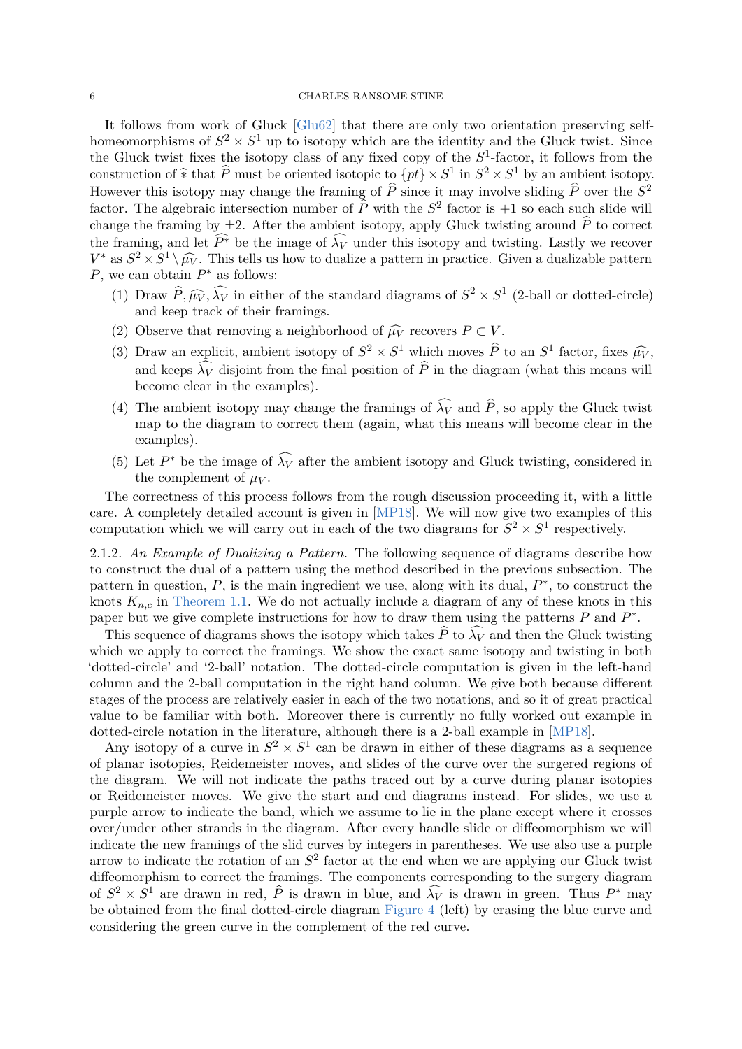### 6 CHARLES RANSOME STINE

It follows from work of Gluck [\[Glu62\]](#page-31-7) that there are only two orientation preserving selfhomeomorphisms of  $S^2 \times S^1$  up to isotopy which are the identity and the Gluck twist. Since the Gluck twist fixes the isotopy class of any fixed copy of the  $S^1$ -factor, it follows from the construction of  $\hat{*}$  that  $\hat{P}$  must be oriented isotopic to  $\{pt\} \times S^1$  in  $S^2 \times S^1$  by an ambient isotopy. However this isotopy may change the framing of  $\hat{P}$  since it may involve sliding  $\hat{P}$  over the  $S^2$ factor. The algebraic intersection number of  $\hat{P}$  with the  $S^2$  factor is  $+1$  so each such slide will change the framing by  $\pm 2$ . After the ambient isotopy, apply Gluck twisting around  $\hat{P}$  to correct the framing, and let  $\widehat{P^*}$  be the image of  $\widehat{\lambda_V}$  under this isotopy and twisting. Lastly we recover  $V^*$  as  $S^2 \times S^1 \setminus \widehat{\mu_V}$ . This tells us how to dualize a pattern in practice. Given a dualizable pattern  $R$  are seen obtain  $R^*$  as follows: *P*, we can obtain *P*<sup>∗</sup> as follows:

- (1) Draw  $\hat{P}, \hat{\mu}_V, \hat{\lambda}_V$  in either of the standard diagrams of  $S^2 \times S^1$  (2-ball or dotted-circle) and keep track of their framings.
- (2) Observe that removing a neighborhood of  $\widehat{\mu V}$  recovers  $P \subset V$ .
- (3) Draw an explicit, ambient isotopy of  $S^2 \times S^1$  which moves  $\hat{P}$  to an  $S^1$  factor, fixes  $\hat{\mu}_V$ , and keeps  $\widehat{\lambda_V}$  disjoint from the final position of  $\widehat{P}$  in the diagram (what this means will become clear in the examples).
- (4) The ambient isotopy may change the framings of  $\widehat{\lambda_V}$  and  $\widehat{P}$ , so apply the Gluck twist map to the diagram to correct them (again, what this means will become clear in the examples).
- (5) Let  $P^*$  be the image of  $\widehat{\lambda_V}$  after the ambient isotopy and Gluck twisting, considered in the complement of  $\mu_V$ .

The correctness of this process follows from the rough discussion proceeding it, with a little care. A completely detailed account is given in [\[MP18\]](#page-31-5). We will now give two examples of this computation which we will carry out in each of the two diagrams for  $S^2 \times S^1$  respectively.

2.1.2. *An Example of Dualizing a Pattern.* The following sequence of diagrams describe how to construct the dual of a pattern using the method described in the previous subsection. The pattern in question,  $P$ , is the main ingredient we use, along with its dual,  $P^*$ , to construct the knots  $K_{n,c}$  in [Theorem 1.1.](#page-1-0) We do not actually include a diagram of any of these knots in this paper but we give complete instructions for how to draw them using the patterns  $P$  and  $P^*$ .

This sequence of diagrams shows the isotopy which takes  $\hat{P}$  to  $\widehat{\lambda V}$  and then the Gluck twisting which we apply to correct the framings. We show the exact same isotopy and twisting in both 'dotted-circle' and '2-ball' notation. The dotted-circle computation is given in the left-hand column and the 2-ball computation in the right hand column. We give both because different stages of the process are relatively easier in each of the two notations, and so it of great practical value to be familiar with both. Moreover there is currently no fully worked out example in dotted-circle notation in the literature, although there is a 2-ball example in [\[MP18\]](#page-31-5).

Any isotopy of a curve in  $S^2 \times S^1$  can be drawn in either of these diagrams as a sequence of planar isotopies, Reidemeister moves, and slides of the curve over the surgered regions of the diagram. We will not indicate the paths traced out by a curve during planar isotopies or Reidemeister moves. We give the start and end diagrams instead. For slides, we use a purple arrow to indicate the band, which we assume to lie in the plane except where it crosses over/under other strands in the diagram. After every handle slide or diffeomorphism we will indicate the new framings of the slid curves by integers in parentheses. We use also use a purple arrow to indicate the rotation of an *S* 2 factor at the end when we are applying our Gluck twist diffeomorphism to correct the framings. The components corresponding to the surgery diagram of  $S^2 \times S^1$  are drawn in red,  $\hat{P}$  is drawn in blue, and  $\hat{\lambda}_V$  is drawn in green. Thus  $P^*$  may be obtained from the final dotted-circle diagram [Figure 4](#page-8-0) (left) by erasing the blue curve and considering the green curve in the complement of the red curve.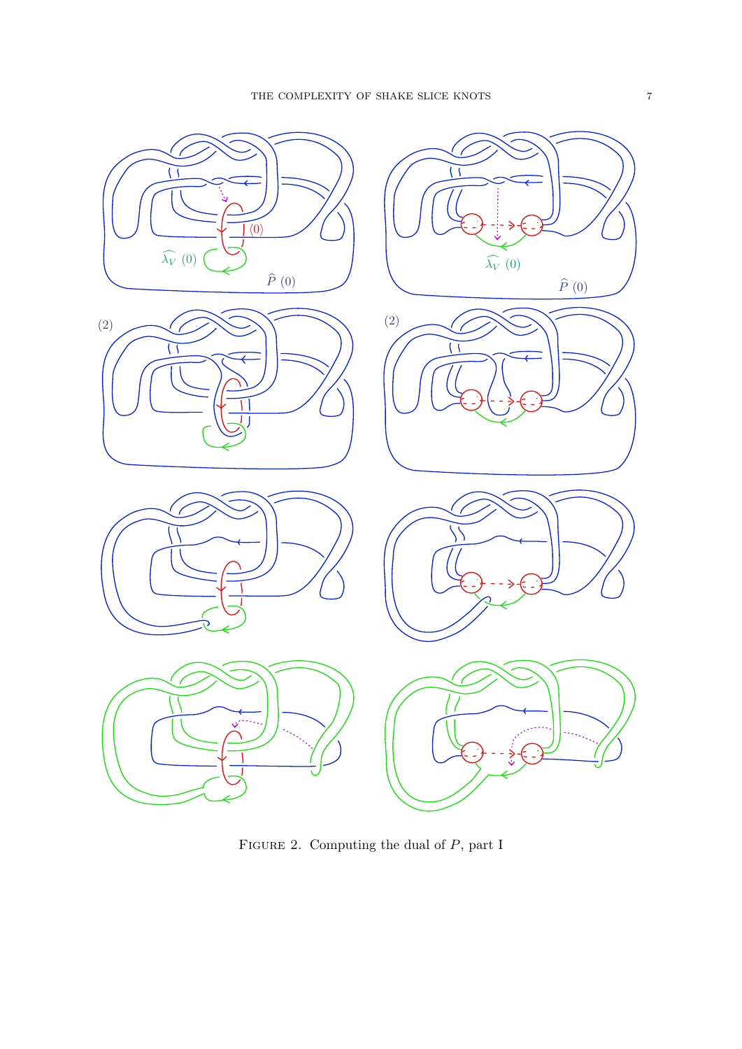<span id="page-6-0"></span>

Figure 2. Computing the dual of *P*, part I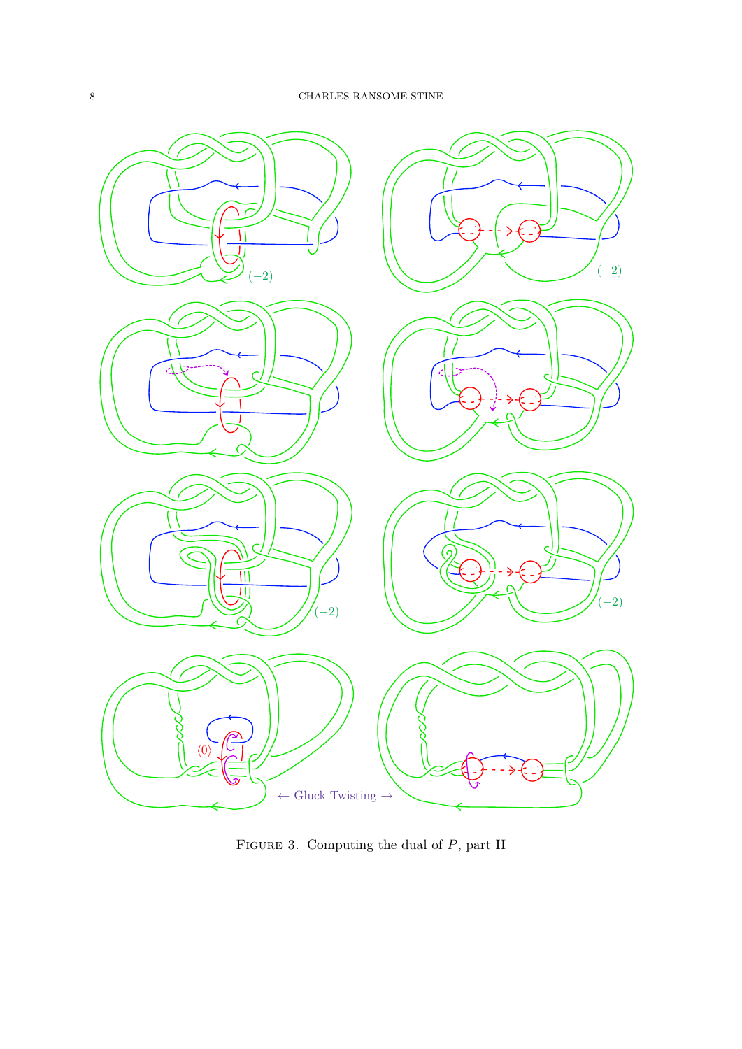<span id="page-7-0"></span>

Figure 3. Computing the dual of *P*, part II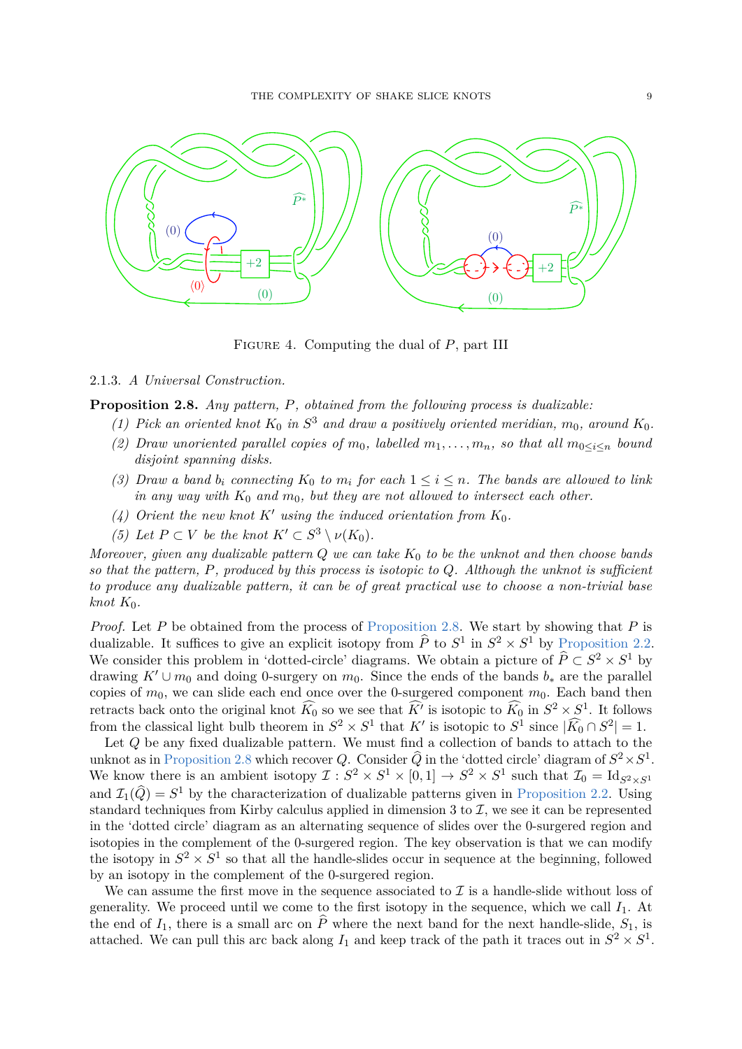<span id="page-8-0"></span>

Figure 4. Computing the dual of *P*, part III

## <span id="page-8-1"></span>2.1.3. *A Universal Construction.*

**Proposition 2.8.** *Any pattern, P, obtained from the following process is dualizable:*

- *(1) Pick an oriented knot*  $K_0$  *in*  $S^3$  *and draw a positively oriented meridian,*  $m_0$ *, around*  $K_0$ *.*
- *(2) Draw unoriented parallel copies of*  $m_0$ *, labelled*  $m_1, \ldots, m_n$ *, so that all*  $m_0 \leq i \leq n$  *bound disjoint spanning disks.*
- *(3) Draw a band*  $b_i$  *connecting*  $K_0$  *to*  $m_i$  *for each*  $1 \leq i \leq n$ *. The bands are allowed to link in any way with*  $K_0$  *and*  $m_0$ *, but they are not allowed to intersect each other.*
- (4) Orient the new knot  $K'$  using the induced orientation from  $K_0$ .
- *(5) Let*  $P \subset V$  *be the knot*  $K' \subset S^3 \setminus \nu(K_0)$ *.*

*Moreover, given any dualizable pattern Q we can take K*<sup>0</sup> *to be the unknot and then choose bands so that the pattern, P, produced by this process is isotopic to Q. Although the unknot is sufficient to produce any dualizable pattern, it can be of great practical use to choose a non-trivial base*  $knot K_0$ .

*Proof.* Let *P* be obtained from the process of [Proposition 2.8.](#page-8-1) We start by showing that *P* is dualizable. It suffices to give an explicit isotopy from  $\hat{P}$  to  $S^1$  in  $S^2 \times S^1$  by [Proposition 2.2.](#page-3-0) We consider this problem in 'dotted-circle' diagrams. We obtain a picture of  $\hat{P} \subset S^2 \times S^1$  by drawing  $K' \cup m_0$  and doing 0-surgery on  $m_0$ . Since the ends of the bands  $b_*$  are the parallel copies of  $m_0$ , we can slide each end once over the 0-surgered component  $m_0$ . Each band then retracts back onto the original knot  $\widehat{K}_0$  so we see that  $\widehat{K'}$  is isotopic to  $\widehat{K}_0$  in  $S^2 \times S^1$ . It follows from the classical light bulb theorem in  $S^2 \times S^1$  that  $K'$  is isotopic to  $S^1$  since  $|\widehat{K_0} \cap S^2| = 1$ .

Let *Q* be any fixed dualizable pattern. We must find a collection of bands to attach to the unknot as in [Proposition 2.8](#page-8-1) which recover *Q*. Consider  $\widehat{Q}$  in the 'dotted circle' diagram of  $S^2 \times S^1$ . We know there is an ambient isotopy  $\mathcal{I}: S^2 \times S^1 \times [0,1] \to S^2 \times S^1$  such that  $\mathcal{I}_0 = \text{Id}_{S^2 \times S^1}$ and  $\mathcal{I}_1(\hat{Q}) = S^1$  by the characterization of dualizable patterns given in [Proposition 2.2.](#page-3-0) Using standard techniques from Kirby calculus applied in dimension 3 to  $\mathcal{I}$ , we see it can be represented in the 'dotted circle' diagram as an alternating sequence of slides over the 0-surgered region and isotopies in the complement of the 0-surgered region. The key observation is that we can modify the isotopy in  $S^2 \times S^1$  so that all the handle-slides occur in sequence at the beginning, followed by an isotopy in the complement of the 0-surgered region.

We can assume the first move in the sequence associated to  $\mathcal I$  is a handle-slide without loss of generality. We proceed until we come to the first isotopy in the sequence, which we call  $I_1$ . At the end of  $I_1$ , there is a small arc on  $\hat{P}$  where the next band for the next handle-slide,  $S_1$ , is attached. We can pull this arc back along  $I_1$  and keep track of the path it traces out in  $S^2 \times S^1$ .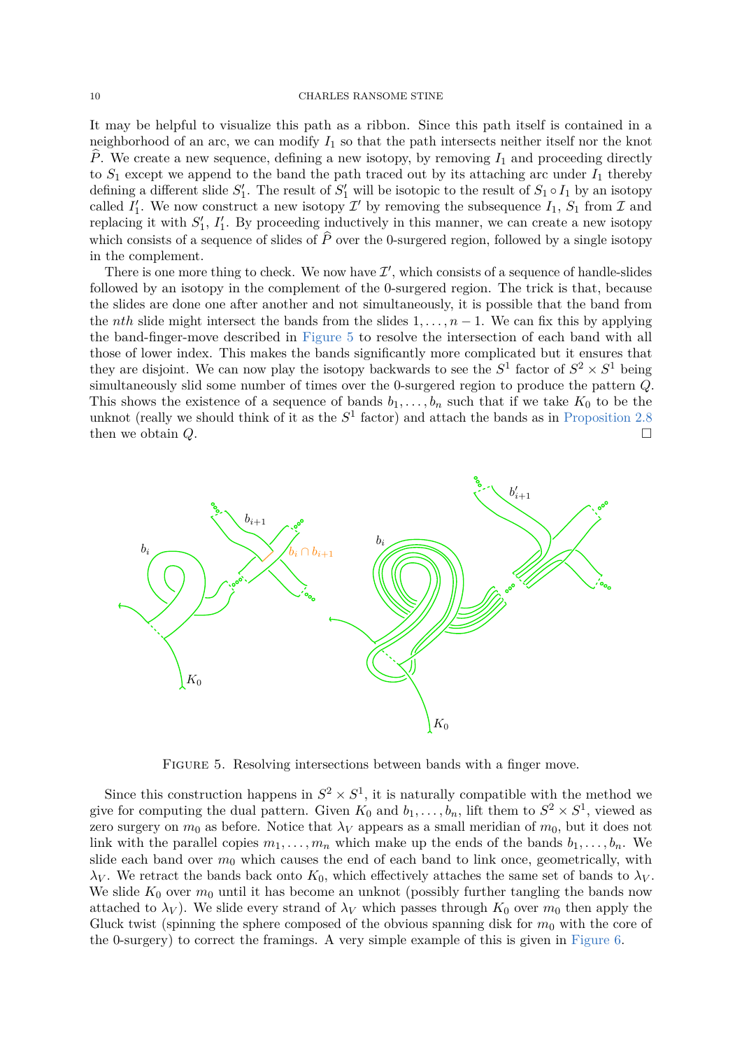### 10 CHARLES RANSOME STINE

It may be helpful to visualize this path as a ribbon. Since this path itself is contained in a neighborhood of an arc, we can modify  $I_1$  so that the path intersects neither itself nor the knot  $\hat{P}$ . We create a new sequence, defining a new isotopy, by removing  $I_1$  and proceeding directly to  $S_1$  except we append to the band the path traced out by its attaching arc under  $I_1$  thereby defining a different slide  $S'_1$ . The result of  $S'_1$  will be isotopic to the result of  $S_1 \circ I_1$  by an isotopy called  $I'_1$ . We now construct a new isotopy  $\mathcal{I}'$  by removing the subsequence  $I_1$ ,  $S_1$  from  $\mathcal{I}$  and replacing it with  $S'_1$ ,  $I'_1$ . By proceeding inductively in this manner, we can create a new isotopy which consists of a sequence of slides of  $\hat{P}$  over the 0-surgered region, followed by a single isotopy in the complement.

There is one more thing to check. We now have  $\mathcal{I}'$ , which consists of a sequence of handle-slides followed by an isotopy in the complement of the 0-surgered region. The trick is that, because the slides are done one after another and not simultaneously, it is possible that the band from the *nth* slide might intersect the bands from the slides  $1, \ldots, n-1$ . We can fix this by applying the band-finger-move described in [Figure 5](#page-9-0) to resolve the intersection of each band with all those of lower index. This makes the bands significantly more complicated but it ensures that they are disjoint. We can now play the isotopy backwards to see the  $S^1$  factor of  $S^2 \times S^1$  being simultaneously slid some number of times over the 0-surgered region to produce the pattern *Q*. This shows the existence of a sequence of bands  $b_1, \ldots, b_n$  such that if we take  $K_0$  to be the unknot (really we should think of it as the  $S<sup>1</sup>$  factor) and attach the bands as in [Proposition 2.8](#page-8-1) then we obtain *Q*.

<span id="page-9-0"></span>

FIGURE 5. Resolving intersections between bands with a finger move.

Since this construction happens in  $S^2 \times S^1$ , it is naturally compatible with the method we give for computing the dual pattern. Given  $K_0$  and  $b_1, \ldots, b_n$ , lift them to  $S^2 \times S^1$ , viewed as zero surgery on  $m_0$  as before. Notice that  $\lambda_V$  appears as a small meridian of  $m_0$ , but it does not link with the parallel copies  $m_1, \ldots, m_n$  which make up the ends of the bands  $b_1, \ldots, b_n$ . We slide each band over  $m_0$  which causes the end of each band to link once, geometrically, with *λV* . We retract the bands back onto  $K_0$ , which effectively attaches the same set of bands to  $λ_V$ . We slide  $K_0$  over  $m_0$  until it has become an unknot (possibly further tangling the bands now attached to  $\lambda_V$ ). We slide every strand of  $\lambda_V$  which passes through  $K_0$  over  $m_0$  then apply the Gluck twist (spinning the sphere composed of the obvious spanning disk for  $m_0$  with the core of the 0-surgery) to correct the framings. A very simple example of this is given in [Figure 6.](#page-10-0)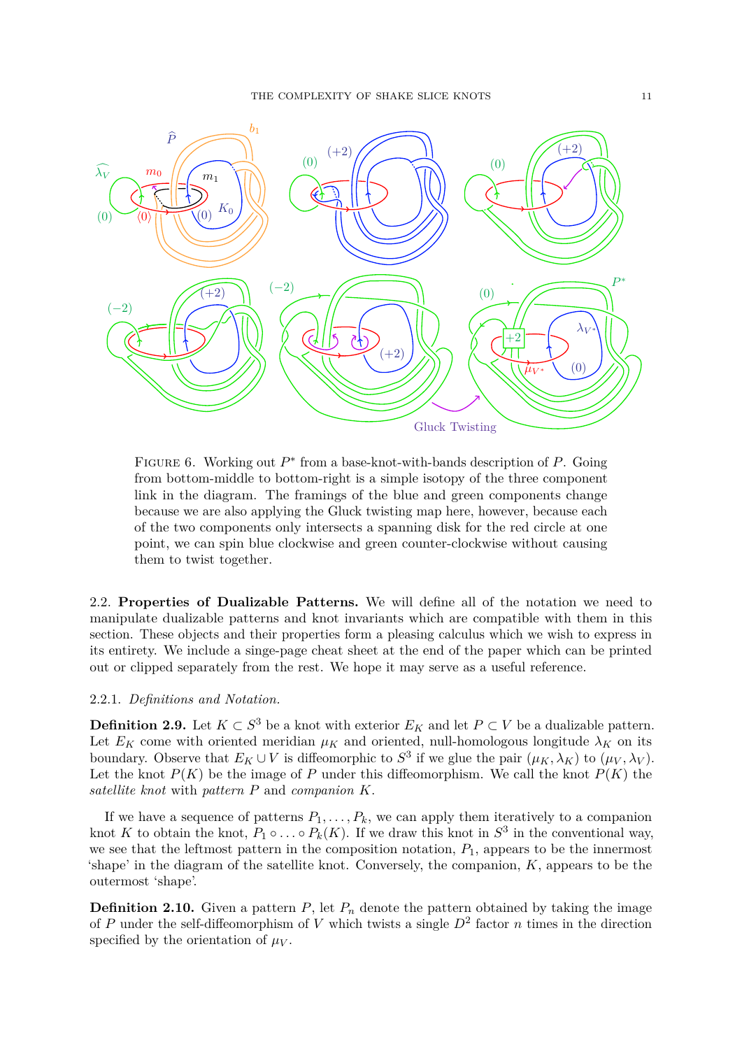<span id="page-10-0"></span>

FIGURE 6. Working out  $P^*$  from a base-knot-with-bands description of  $P$ . Going from bottom-middle to bottom-right is a simple isotopy of the three component link in the diagram. The framings of the blue and green components change because we are also applying the Gluck twisting map here, however, because each of the two components only intersects a spanning disk for the red circle at one point, we can spin blue clockwise and green counter-clockwise without causing them to twist together.

2.2. **Properties of Dualizable Patterns.** We will define all of the notation we need to manipulate dualizable patterns and knot invariants which are compatible with them in this section. These objects and their properties form a pleasing calculus which we wish to express in its entirety. We include a singe-page cheat sheet at the end of the paper which can be printed out or clipped separately from the rest. We hope it may serve as a useful reference.

## 2.2.1. *Definitions and Notation.*

**Definition 2.9.** Let  $K \subset S^3$  be a knot with exterior  $E_K$  and let  $P \subset V$  be a dualizable pattern. Let  $E_K$  come with oriented meridian  $\mu_K$  and oriented, null-homologous longitude  $\lambda_K$  on its boundary. Observe that  $E_K \cup V$  is diffeomorphic to  $S^3$  if we glue the pair  $(\mu_K, \lambda_K)$  to  $(\mu_V, \lambda_V)$ . Let the knot  $P(K)$  be the image of P under this diffeomorphism. We call the knot  $P(K)$  the *satellite knot* with *pattern P* and *companion K*.

If we have a sequence of patterns  $P_1, \ldots, P_k$ , we can apply them iteratively to a companion knot *K* to obtain the knot,  $P_1 \circ \ldots \circ P_k(K)$ . If we draw this knot in  $S^3$  in the conventional way, we see that the leftmost pattern in the composition notation,  $P_1$ , appears to be the innermost 'shape' in the diagram of the satellite knot. Conversely, the companion, *K*, appears to be the outermost 'shape'.

**Definition 2.10.** Given a pattern  $P$ , let  $P_n$  denote the pattern obtained by taking the image of *P* under the self-diffeomorphism of *V* which twists a single *D*<sup>2</sup> factor *n* times in the direction specified by the orientation of  $\mu_V$ .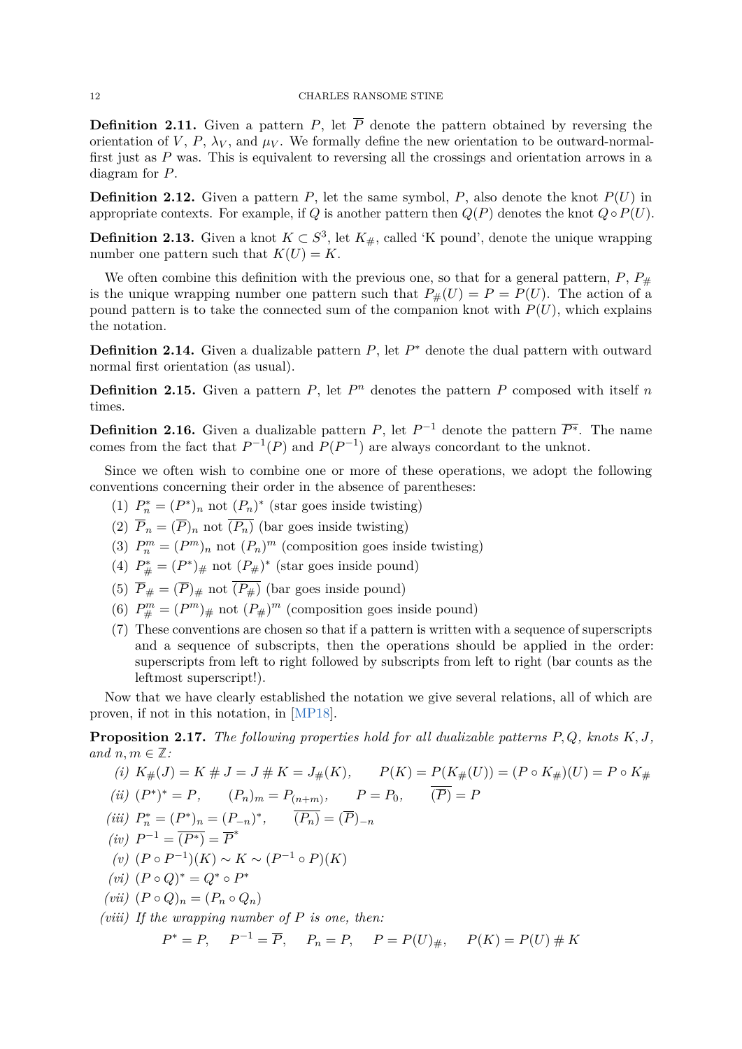**Definition 2.11.** Given a pattern *P*, let  $\overline{P}$  denote the pattern obtained by reversing the orientation of *V*, *P*,  $\lambda_V$ , and  $\mu_V$ . We formally define the new orientation to be outward-normalfirst just as *P* was. This is equivalent to reversing all the crossings and orientation arrows in a diagram for *P*.

**Definition 2.12.** Given a pattern  $P$ , let the same symbol,  $P$ , also denote the knot  $P(U)$  in appropriate contexts. For example, if *Q* is another pattern then  $Q(P)$  denotes the knot  $Q \circ P(U)$ .

**Definition 2.13.** Given a knot  $K \subset S^3$ , let  $K_{\#}$ , called 'K pound', denote the unique wrapping number one pattern such that  $K(U) = K$ .

We often combine this definition with the previous one, so that for a general pattern,  $P$ ,  $P_{\#}$ is the unique wrapping number one pattern such that  $P_{\#}(U) = P = P(U)$ . The action of a pound pattern is to take the connected sum of the companion knot with  $P(U)$ , which explains the notation.

**Definition 2.14.** Given a dualizable pattern *P*, let *P*<sup>∗</sup> denote the dual pattern with outward normal first orientation (as usual).

**Definition 2.15.** Given a pattern  $P$ , let  $P^n$  denotes the pattern  $P$  composed with itself  $n$ times.

**Definition 2.16.** Given a dualizable pattern *P*, let  $P^{-1}$  denote the pattern  $\overline{P^*}$ . The name comes from the fact that  $P^{-1}(P)$  and  $P(P^{-1})$  are always concordant to the unknot.

Since we often wish to combine one or more of these operations, we adopt the following conventions concerning their order in the absence of parentheses:

- (1)  $P_n^* = (P^*)_n$  not  $(P_n)^*$  (star goes inside twisting)
- (2)  $\overline{P}_n = (\overline{P})_n$  not  $\overline{(P_n)}$  (bar goes inside twisting)
- (3)  $P_n^m = (P^m)_n$  not  $(P_n)^m$  (composition goes inside twisting)
- (4)  $P_{\#}^* = (P^*)_{\#}$  not  $(P_{\#})^*$  (star goes inside pound)
- (5)  $\overline{P}_{\#} = (\overline{P})_{\#}$  not  $(\overline{P_{\#}})$  (bar goes inside pound)
- (6)  $P_{\#}^m = (P^m)_{\#}$  not  $(P_{\#})^m$  (composition goes inside pound)
- (7) These conventions are chosen so that if a pattern is written with a sequence of superscripts and a sequence of subscripts, then the operations should be applied in the order: superscripts from left to right followed by subscripts from left to right (bar counts as the leftmost superscript!).

Now that we have clearly established the notation we give several relations, all of which are proven, if not in this notation, in [\[MP18\]](#page-31-5).

<span id="page-11-0"></span>**Proposition 2.17.** *The following properties hold for all dualizable patterns P, Q, knots K, J, and*  $n, m \in \mathbb{Z}$ *:* 

(i) 
$$
K_{\#}(J) = K \# J = J \# K = J_{\#}(K),
$$
  $P(K) = P(K_{\#}(U)) = (P \circ K_{\#})(U) = P \circ K_{\#}$   
\n(ii)  $(P^*)^* = P,$   $(P_n)_m = P_{(n+m)},$   $P = P_0,$   $(\overline{P}) = P$   
\n(iii)  $P_n^* = (P^*)_n = (P_{-n})^*,$   $(\overline{P_n}) = (\overline{P})_{-n}$   
\n(iv)  $P^{-1} = (\overline{P^*}) = \overline{P^*}$   
\n(v)  $(P \circ P^{-1})(K) \sim K \sim (P^{-1} \circ P)(K)$   
\n(vi)  $(P \circ Q)^* = Q^* \circ P^*$   
\n(vii)  $(P \circ Q)_n = (P_n \circ Q_n)$   
\n(viii) If the wrapping number of P is one, then:  
\n $P^* = P,$   $P^{-1} = \overline{P},$   $P_n = P,$   $P = P(U)_{\#},$   $P(K) = P(U) \# K$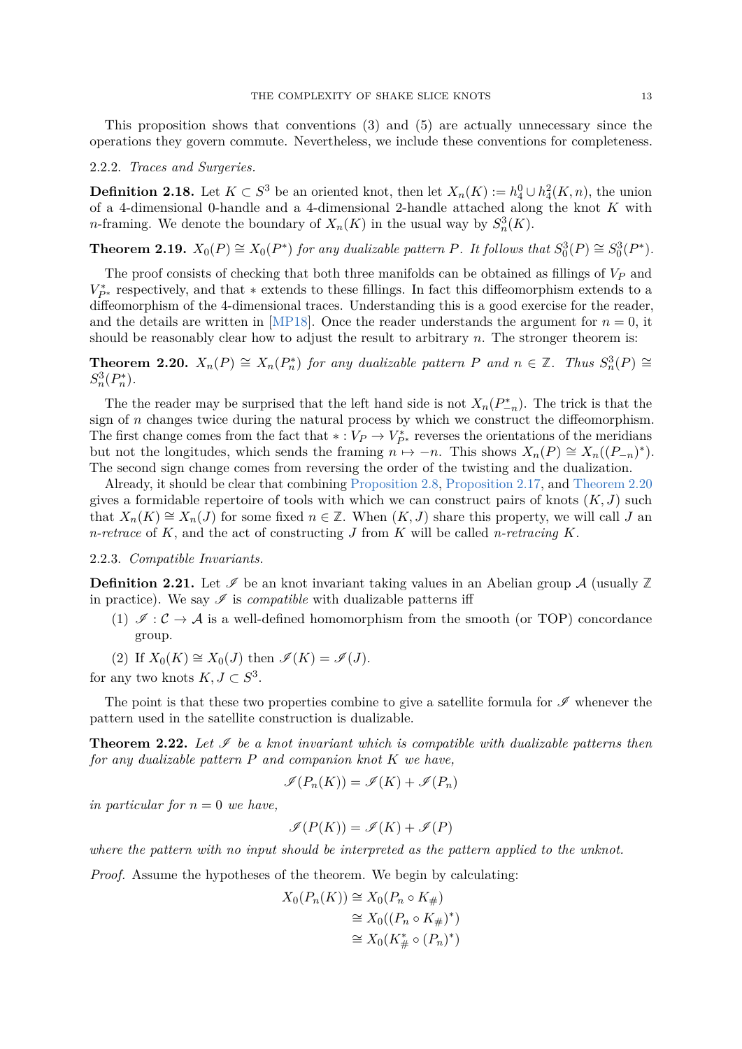This proposition shows that conventions (3) and (5) are actually unnecessary since the operations they govern commute. Nevertheless, we include these conventions for completeness.

### 2.2.2. *Traces and Surgeries.*

**Definition 2.18.** Let  $K \subset S^3$  be an oriented knot, then let  $X_n(K) := h_4^0 \cup h_4^2(K, n)$ , the union of a 4-dimensional 0-handle and a 4-dimensional 2-handle attached along the knot *K* with *n*-framing. We denote the boundary of  $X_n(K)$  in the usual way by  $S_n^3(K)$ .

**Theorem 2.19.**  $X_0(P) \cong X_0(P^*)$  for any dualizable pattern *P.* It follows that  $S_0^3(P) \cong S_0^3(P^*)$ *.* 

The proof consists of checking that both three manifolds can be obtained as fillings of *V<sup>P</sup>* and  $V_{P^*}^*$  respectively, and that  $*$  extends to these fillings. In fact this diffeomorphism extends to a diffeomorphism of the 4-dimensional traces. Understanding this is a good exercise for the reader, and the details are written in [\[MP18\]](#page-31-5). Once the reader understands the argument for  $n = 0$ , it should be reasonably clear how to adjust the result to arbitrary *n*. The stronger theorem is:

<span id="page-12-0"></span>**Theorem 2.20.**  $X_n(P) \cong X_n(P_n^*)$  for any dualizable pattern P and  $n \in \mathbb{Z}$ . Thus  $S_n^3(P) \cong$  $S_n^3(P_n^*)$ .

The the reader may be surprised that the left hand side is not  $X_n(P_{-n}^*)$ . The trick is that the sign of *n* changes twice during the natural process by which we construct the diffeomorphism. The first change comes from the fact that  $* : V_P \to V_{P^*}^*$  reverses the orientations of the meridians but not the longitudes, which sends the framing  $n \mapsto -n$ . This shows  $X_n(P) \cong X_n((P_{-n})^*)$ . The second sign change comes from reversing the order of the twisting and the dualization.

Already, it should be clear that combining [Proposition 2.8,](#page-8-1) [Proposition 2.17,](#page-11-0) and [Theorem 2.20](#page-12-0) gives a formidable repertoire of tools with which we can construct pairs of knots  $(K, J)$  such that  $X_n(K) \cong X_n(J)$  for some fixed  $n \in \mathbb{Z}$ . When  $(K, J)$  share this property, we will call *J* and *n-retrace* of *K*, and the act of constructing *J* from *K* will be called *n-retracing K*.

## 2.2.3. *Compatible Invariants.*

**Definition 2.21.** Let  $\mathcal{I}$  be an knot invariant taking values in an Abelian group A (usually  $\mathbb{Z}$ ) in practice). We say  $\mathscr I$  is *compatible* with dualizable patterns iff

- (1)  $\mathscr{I}: \mathcal{C} \to \mathcal{A}$  is a well-defined homomorphism from the smooth (or TOP) concordance group.
- (2) If  $X_0(K) \cong X_0(J)$  then  $\mathscr{I}(K) = \mathscr{I}(J)$ .

for any two knots  $K, J \subset S^3$ .

The point is that these two properties combine to give a satellite formula for  $\mathscr I$  whenever the pattern used in the satellite construction is dualizable.

**Theorem 2.22.** Let  $\mathcal{I}$  be a knot invariant which is compatible with dualizable patterns then *for any dualizable pattern P and companion knot K we have,*

$$
\mathscr{I}(P_n(K)) = \mathscr{I}(K) + \mathscr{I}(P_n)
$$

*in particular for*  $n = 0$  *we have.* 

$$
\mathscr{I}(P(K)) = \mathscr{I}(K) + \mathscr{I}(P)
$$

*where the pattern with no input should be interpreted as the pattern applied to the unknot.*

*Proof.* Assume the hypotheses of the theorem. We begin by calculating:

$$
X_0(P_n(K)) \cong X_0(P_n \circ K_{\#})
$$
  
\n
$$
\cong X_0((P_n \circ K_{\#})^*)
$$
  
\n
$$
\cong X_0(K_{\#}^* \circ (P_n)^*)
$$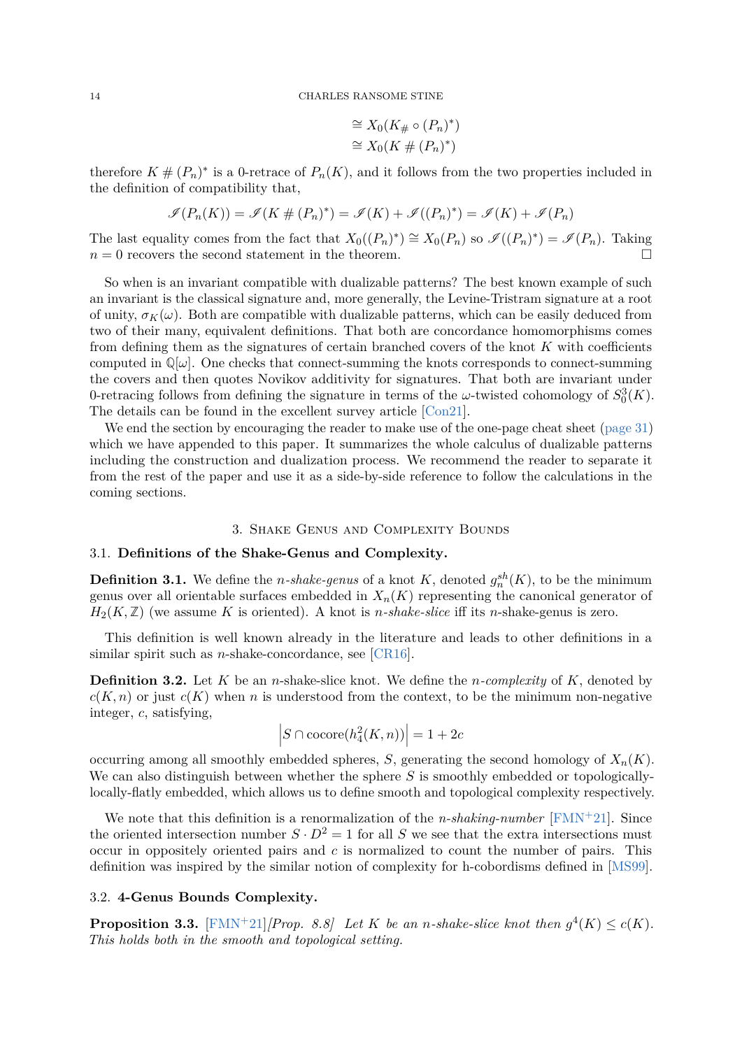$$
\cong X_0(K_{\#}\circ (P_n)^*)
$$
  

$$
\cong X_0(K \# (P_n)^*)
$$

therefore  $K \# (P_n)^*$  is a 0-retrace of  $P_n(K)$ , and it follows from the two properties included in the definition of compatibility that,

$$
\mathscr{I}(P_n(K)) = \mathscr{I}(K \# (P_n)^*) = \mathscr{I}(K) + \mathscr{I}((P_n)^*) = \mathscr{I}(K) + \mathscr{I}(P_n)
$$

The last equality comes from the fact that  $X_0((P_n)^*) \cong X_0(P_n)$  so  $\mathcal{I}((P_n)^*) = \mathcal{I}(P_n)$ . Taking  $n=0$  recovers the second statement in the theorem.

So when is an invariant compatible with dualizable patterns? The best known example of such an invariant is the classical signature and, more generally, the Levine-Tristram signature at a root of unity,  $\sigma_K(\omega)$ . Both are compatible with dualizable patterns, which can be easily deduced from two of their many, equivalent definitions. That both are concordance homomorphisms comes from defining them as the signatures of certain branched covers of the knot *K* with coefficients computed in  $\mathbb{Q}[\omega]$ . One checks that connect-summing the knots corresponds to connect-summing the covers and then quotes Novikov additivity for signatures. That both are invariant under 0-retracing follows from defining the signature in terms of the  $\omega$ -twisted cohomology of  $S_0^3(K)$ . The details can be found in the excellent survey article [\[Con21\]](#page-31-8).

We end the section by encouraging the reader to make use of the one-page cheat sheet [\(page 31\)](#page-30-0) which we have appended to this paper. It summarizes the whole calculus of dualizable patterns including the construction and dualization process. We recommend the reader to separate it from the rest of the paper and use it as a side-by-side reference to follow the calculations in the coming sections.

# 3. Shake Genus and Complexity Bounds

## 3.1. **Definitions of the Shake-Genus and Complexity.**

**Definition 3.1.** We define the *n*-shake-genus of a knot  $K$ , denoted  $g_n^{sh}(K)$ , to be the minimum genus over all orientable surfaces embedded in  $X_n(K)$  representing the canonical generator of  $H_2(K,\mathbb{Z})$  (we assume K is oriented). A knot is *n*-shake-slice iff its *n*-shake-genus is zero.

This definition is well known already in the literature and leads to other definitions in a similar spirit such as *n*-shake-concordance, see [\[CR16\]](#page-31-1).

**Definition 3.2.** Let *K* be an *n*-shake-slice knot. We define the *n-complexity* of *K*, denoted by  $c(K, n)$  or just  $c(K)$  when *n* is understood from the context, to be the minimum non-negative integer, *c*, satisfying,

$$
\left|S \cap \text{cocore}(h_4^2(K, n))\right| = 1 + 2c
$$

occurring among all smoothly embedded spheres, *S*, generating the second homology of  $X_n(K)$ . We can also distinguish between whether the sphere *S* is smoothly embedded or topologicallylocally-flatly embedded, which allows us to define smooth and topological complexity respectively.

We note that this definition is a renormalization of the *n-shaking-number* [\[FMN](#page-31-2)<sup>+</sup>21]. Since the oriented intersection number  $S \cdot D^2 = 1$  for all *S* we see that the extra intersections must occur in oppositely oriented pairs and *c* is normalized to count the number of pairs. This definition was inspired by the similar notion of complexity for h-cobordisms defined in [\[MS99\]](#page-31-9).

## <span id="page-13-0"></span>3.2. **4-Genus Bounds Complexity.**

**Proposition 3.3.**  $\text{[FMN+21]}$  $\text{[FMN+21]}$  $\text{[FMN+21]}$ *[Prop. 8.8] Let K be an n-shake-slice knot then*  $g^4(K) \le c(K)$ *. This holds both in the smooth and topological setting.*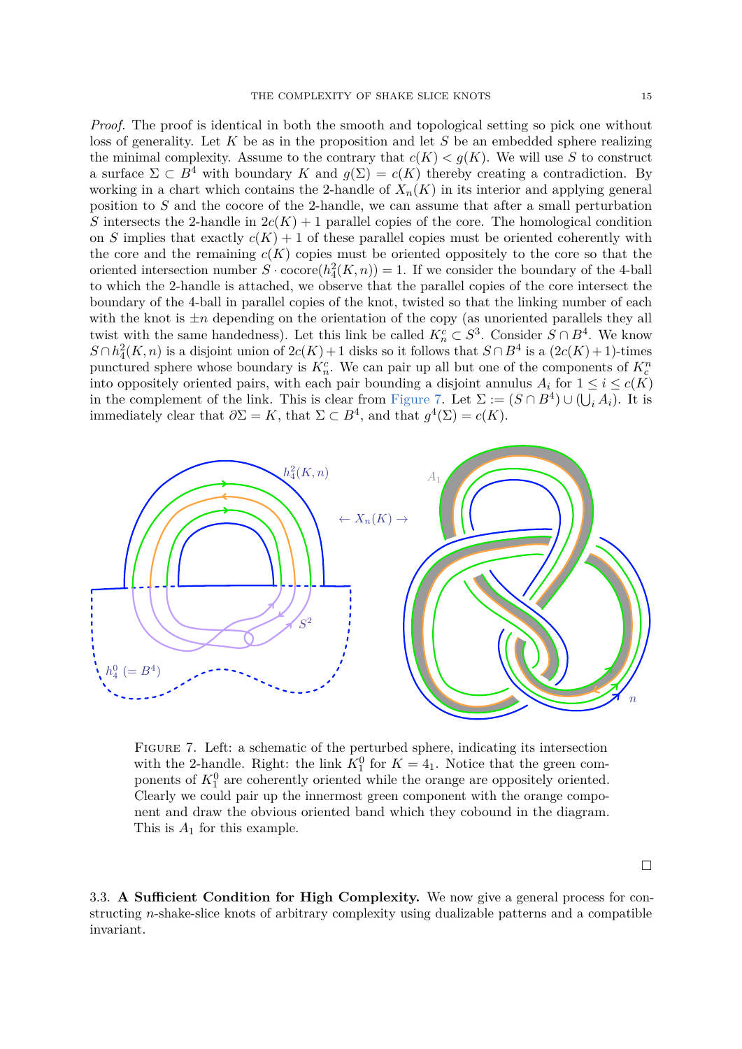*Proof.* The proof is identical in both the smooth and topological setting so pick one without loss of generality. Let *K* be as in the proposition and let *S* be an embedded sphere realizing the minimal complexity. Assume to the contrary that  $c(K) < g(K)$ . We will use *S* to construct a surface  $\Sigma \subset B^4$  with boundary *K* and  $q(\Sigma) = c(K)$  thereby creating a contradiction. By working in a chart which contains the 2-handle of  $X_n(K)$  in its interior and applying general position to *S* and the cocore of the 2-handle, we can assume that after a small perturbation *S* intersects the 2-handle in  $2c(K) + 1$  parallel copies of the core. The homological condition on *S* implies that exactly  $c(K) + 1$  of these parallel copies must be oriented coherently with the core and the remaining  $c(K)$  copies must be oriented oppositely to the core so that the oriented intersection number  $S \cdot \text{cocore}(h_4^2(K, n)) = 1$ . If we consider the boundary of the 4-ball to which the 2-handle is attached, we observe that the parallel copies of the core intersect the boundary of the 4-ball in parallel copies of the knot, twisted so that the linking number of each with the knot is  $\pm n$  depending on the orientation of the copy (as unoriented parallels they all twist with the same handedness). Let this link be called  $K_n^c \subset S^3$ . Consider  $S \cap B^4$ . We know  $S \cap h_4^2(K, n)$  is a disjoint union of  $2c(K) + 1$  disks so it follows that  $S \cap B^4$  is a  $(2c(K) + 1)$ -times punctured sphere whose boundary is  $K_n^c$ . We can pair up all but one of the components of  $K_c^n$ 

into oppositely oriented pairs, with each pair bounding a disjoint annulus  $A_i$  for  $1 \leq i \leq c(K)$ in the complement of the link. This is clear from [Figure 7.](#page-14-1) Let  $\Sigma := (S \cap B^4) \cup (\bigcup_i A_i)$ . It is immediately clear that  $\partial \Sigma = K$ , that  $\Sigma \subset B^4$ , and that  $g^4(\Sigma) = c(K)$ .

<span id="page-14-1"></span>

Figure 7. Left: a schematic of the perturbed sphere, indicating its intersection with the 2-handle. Right: the link  $K_1^0$  for  $K = 4<sub>1</sub>$ . Notice that the green components of  $K_1^0$  are coherently oriented while the orange are oppositely oriented. Clearly we could pair up the innermost green component with the orange component and draw the obvious oriented band which they cobound in the diagram. This is *A*<sup>1</sup> for this example.

<span id="page-14-0"></span>3.3. **A Sufficient Condition for High Complexity.** We now give a general process for constructing *n*-shake-slice knots of arbitrary complexity using dualizable patterns and a compatible invariant.

 $\Box$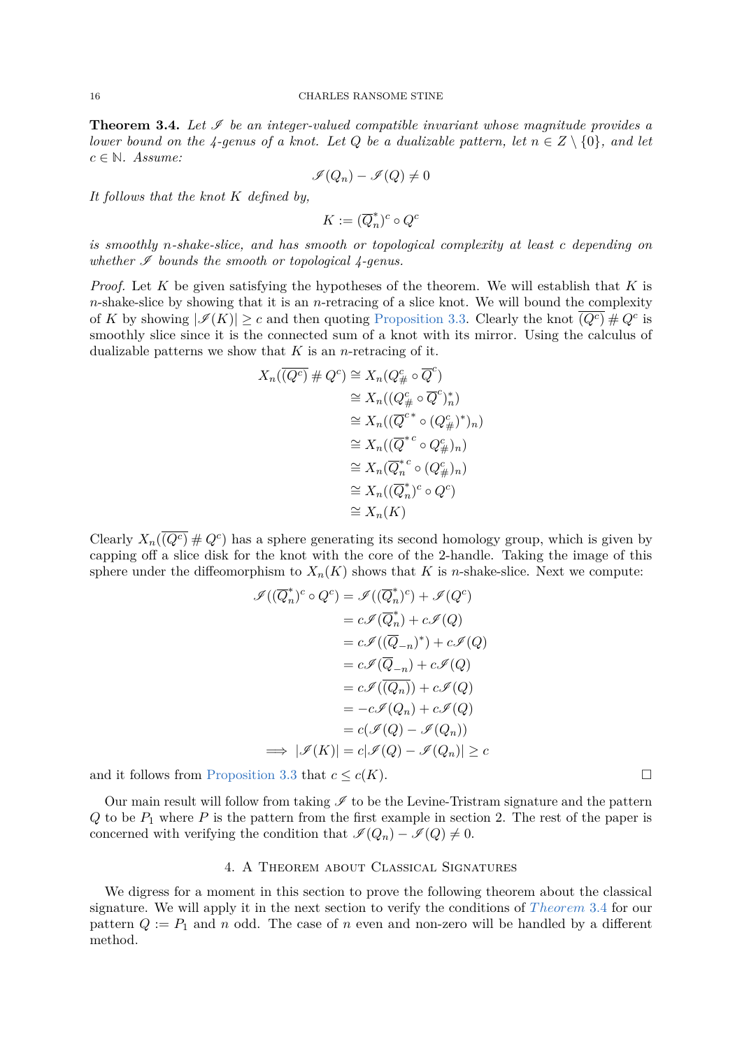**Theorem 3.4.** Let  $\mathcal I$  be an integer-valued compatible invariant whose magnitude provides a *lower bound on the 4-genus of a knot. Let*  $Q$  *be a dualizable pattern, let*  $n \in Z \setminus \{0\}$ *, and let*  $c \in \mathbb{N}$ *. Assume:* 

$$
\mathscr{I}(Q_n)-\mathscr{I}(Q)\neq 0
$$

*It follows that the knot K defined by,*

 $K := (\overline{Q}_n^*)$  $(n^*)^c \circ Q^c$ 

*is smoothly n-shake-slice, and has smooth or topological complexity at least c depending on* whether  $\mathscr I$  bounds the smooth or topological  $\mathscr I$ -genus.

*Proof.* Let *K* be given satisfying the hypotheses of the theorem. We will establish that *K* is *n*-shake-slice by showing that it is an *n*-retracing of a slice knot. We will bound the complexity of *K* by showing  $|\mathcal{I}(K)| \ge c$  and then quoting [Proposition 3.3.](#page-13-0) Clearly the knot  $\overline{(Q^c)} \# Q^c$  is smoothly slice since it is the connected sum of a knot with its mirror. Using the calculus of dualizable patterns we show that *K* is an *n*-retracing of it.

$$
X_n(\overline{(Q^c)} \# Q^c) \cong X_n(Q^c_{\#} \circ \overline{Q}^c)
$$
  
\n
$$
\cong X_n((Q^c_{\#} \circ \overline{Q}^c)^*_n)
$$
  
\n
$$
\cong X_n((\overline{Q}^{c*} \circ (Q^c_{\#})^*)_n)
$$
  
\n
$$
\cong X_n((\overline{Q}^{*c} \circ Q^c_{\#})_n)
$$
  
\n
$$
\cong X_n(\overline{Q}^{*c}_n \circ (Q^c_{\#})_n)
$$
  
\n
$$
\cong X_n((\overline{Q}^{*c}_n)^c \circ Q^c)
$$
  
\n
$$
\cong X_n(K)
$$

Clearly  $X_n(\overline{(Q^c)} \# Q^c)$  has a sphere generating its second homology group, which is given by capping off a slice disk for the knot with the core of the 2-handle. Taking the image of this sphere under the diffeomorphism to  $X_n(K)$  shows that *K* is *n*-shake-slice. Next we compute:

$$
\mathcal{I}((\overline{Q}_n^*)^c \circ Q^c) = \mathcal{I}((\overline{Q}_n^*)^c) + \mathcal{I}(Q^c)
$$
  
\n
$$
= c\mathcal{I}(\overline{Q}_n^*) + c\mathcal{I}(Q)
$$
  
\n
$$
= c\mathcal{I}((\overline{Q}_{-n})^*) + c\mathcal{I}(Q)
$$
  
\n
$$
= c\mathcal{I}((\overline{Q}_{-n})^*) + c\mathcal{I}(Q)
$$
  
\n
$$
= c\mathcal{I}((\overline{Q}_{n})) + c\mathcal{I}(Q)
$$
  
\n
$$
= c\mathcal{I}((Q_n)) + c\mathcal{I}(Q)
$$
  
\n
$$
= -c\mathcal{I}(Q_n) + c\mathcal{I}(Q)
$$
  
\n
$$
= c(\mathcal{I}(Q) - \mathcal{I}(Q_n))
$$
  
\n
$$
\implies |\mathcal{I}(K)| = c|\mathcal{I}(Q) - \mathcal{I}(Q_n)| \ge c
$$

and it follows from [Proposition 3.3](#page-13-0) that  $c \leq c(K)$ .

Our main result will follow from taking  $\mathscr I$  to be the Levine-Tristram signature and the pattern  $Q$  to be  $P_1$  where  $P$  is the pattern from the first example in section 2. The rest of the paper is concerned with verifying the condition that  $\mathcal{I}(Q_n) - \mathcal{I}(Q) \neq 0$ .

# 4. A Theorem about Classical Signatures

<span id="page-15-0"></span>We digress for a moment in this section to prove the following theorem about the classical signature. We will apply it in the next section to verify the conditions of *[T heorem](#page-14-0)* 3*.*4 for our pattern  $Q := P_1$  and *n* odd. The case of *n* even and non-zero will be handled by a different method.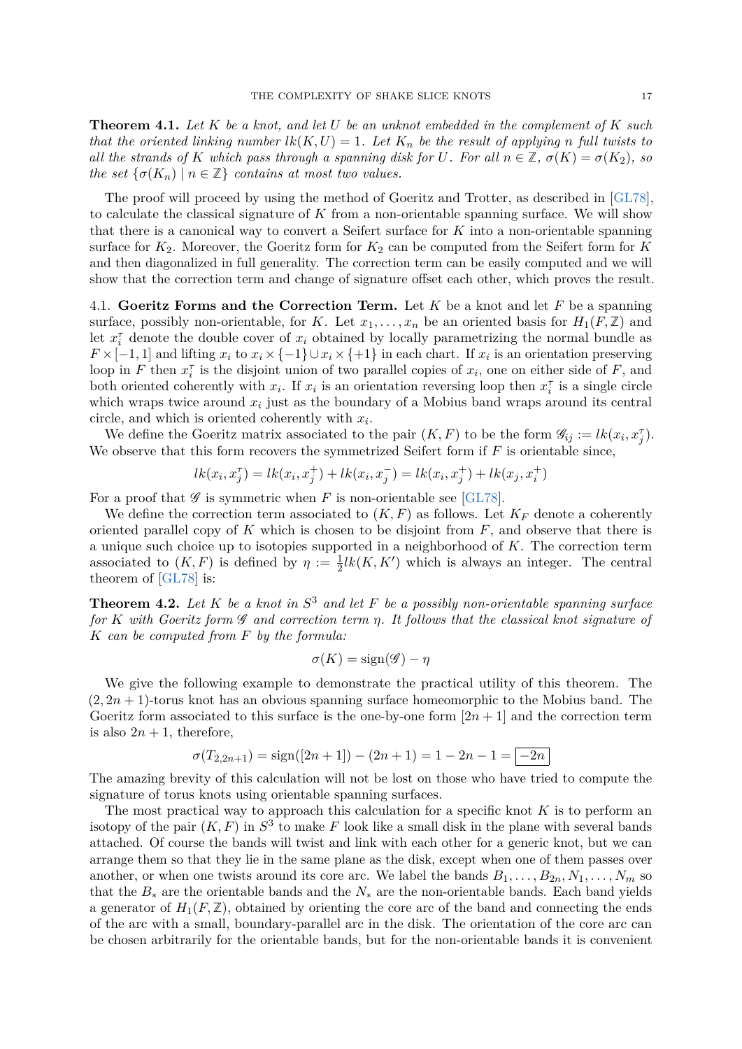**Theorem 4.1.** *Let K be a knot, and let U be an unknot embedded in the complement of K such that the oriented linking number*  $lk(K, U) = 1$ *. Let*  $K_n$  *be the result of applying n full twists to all the strands of K which pass through a spanning disk for U. For all*  $n \in \mathbb{Z}$ *,*  $\sigma(K) = \sigma(K_2)$ *, so the set*  $\{\sigma(K_n) \mid n \in \mathbb{Z}\}$  *contains at most two values.* 

The proof will proceed by using the method of Goeritz and Trotter, as described in [\[GL78\]](#page-31-10), to calculate the classical signature of *K* from a non-orientable spanning surface. We will show that there is a canonical way to convert a Seifert surface for *K* into a non-orientable spanning surface for  $K_2$ . Moreover, the Goeritz form for  $K_2$  can be computed from the Seifert form for  $K$ and then diagonalized in full generality. The correction term can be easily computed and we will show that the correction term and change of signature offset each other, which proves the result.

4.1. **Goeritz Forms and the Correction Term.** Let *K* be a knot and let *F* be a spanning surface, possibly non-orientable, for *K*. Let  $x_1, \ldots, x_n$  be an oriented basis for  $H_1(F, \mathbb{Z})$  and let  $x_i^{\tau}$  denote the double cover of  $x_i$  obtained by locally parametrizing the normal bundle as  $F \times [-1, 1]$  and lifting  $x_i$  to  $x_i \times \{-1\} \cup x_i \times \{+1\}$  in each chart. If  $x_i$  is an orientation preserving loop in *F* then  $x_i^{\tau}$  is the disjoint union of two parallel copies of  $x_i$ , one on either side of *F*, and both oriented coherently with  $x_i$ . If  $x_i$  is an orientation reversing loop then  $x_i^{\tau}$  is a single circle which wraps twice around  $x_i$  just as the boundary of a Mobius band wraps around its central circle, and which is oriented coherently with *x<sup>i</sup>* .

We define the Goeritz matrix associated to the pair  $(K, F)$  to be the form  $\mathscr{G}_{ij} := lk(x_i, x_j)$ . We observe that this form recovers the symmetrized Seifert form if *F* is orientable since,

$$
lk(x_i, x_j^{\tau}) = lk(x_i, x_j^+) + lk(x_i, x_j^-) = lk(x_i, x_j^+) + lk(x_j, x_i^+)
$$

For a proof that  $\mathscr G$  is symmetric when *F* is non-orientable see [\[GL78\]](#page-31-10).

We define the correction term associated to  $(K, F)$  as follows. Let  $K_F$  denote a coherently oriented parallel copy of *K* which is chosen to be disjoint from *F*, and observe that there is a unique such choice up to isotopies supported in a neighborhood of *K*. The correction term associated to  $(K, F)$  is defined by  $\eta := \frac{1}{2}lk(K, K')$  which is always an integer. The central theorem of [\[GL78\]](#page-31-10) is:

**Theorem 4.2.** *Let K be a knot in S* <sup>3</sup> *and let F be a possibly non-orientable spanning surface for K with Goeritz form* G *and correction term η. It follows that the classical knot signature of K can be computed from F by the formula:*

$$
\sigma(K) = \text{sign}(\mathscr{G}) - \eta
$$

We give the following example to demonstrate the practical utility of this theorem. The  $(2, 2n + 1)$ -torus knot has an obvious spanning surface homeomorphic to the Mobius band. The Goeritz form associated to this surface is the one-by-one form  $[2n+1]$  and the correction term is also  $2n + 1$ , therefore,

$$
\sigma(T_{2,2n+1}) = \text{sign}([2n+1]) - (2n+1) = 1 - 2n - 1 = |-2n|
$$

The amazing brevity of this calculation will not be lost on those who have tried to compute the signature of torus knots using orientable spanning surfaces.

The most practical way to approach this calculation for a specific knot *K* is to perform an isotopy of the pair  $(K, F)$  in  $S^3$  to make F look like a small disk in the plane with several bands attached. Of course the bands will twist and link with each other for a generic knot, but we can arrange them so that they lie in the same plane as the disk, except when one of them passes over another, or when one twists around its core arc. We label the bands  $B_1, \ldots, B_{2n}, N_1, \ldots, N_m$  so that the  $B_*$  are the orientable bands and the  $N_*$  are the non-orientable bands. Each band yields a generator of  $H_1(F,\mathbb{Z})$ , obtained by orienting the core arc of the band and connecting the ends of the arc with a small, boundary-parallel arc in the disk. The orientation of the core arc can be chosen arbitrarily for the orientable bands, but for the non-orientable bands it is convenient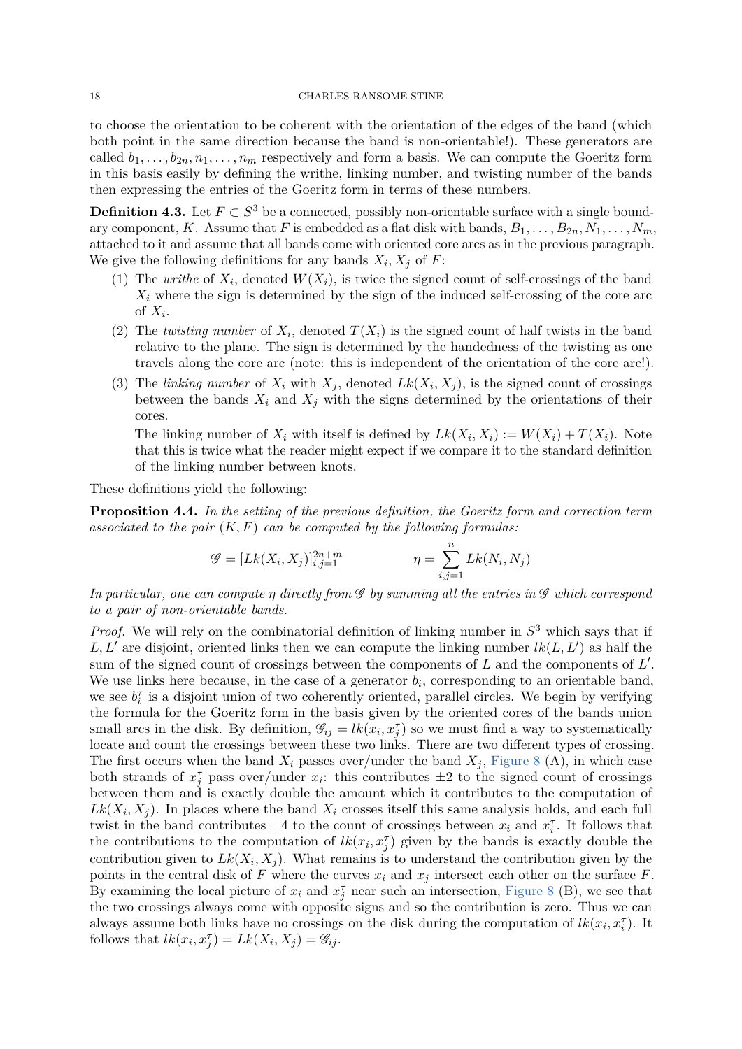to choose the orientation to be coherent with the orientation of the edges of the band (which both point in the same direction because the band is non-orientable!). These generators are called  $b_1, \ldots, b_{2n}, n_1, \ldots, n_m$  respectively and form a basis. We can compute the Goeritz form in this basis easily by defining the writhe, linking number, and twisting number of the bands then expressing the entries of the Goeritz form in terms of these numbers.

**Definition 4.3.** Let  $F \subset S^3$  be a connected, possibly non-orientable surface with a single boundary component, *K*. Assume that *F* is embedded as a flat disk with bands,  $B_1, \ldots, B_{2n}, N_1, \ldots, N_m$ , attached to it and assume that all bands come with oriented core arcs as in the previous paragraph. We give the following definitions for any bands  $X_i, X_j$  of  $F$ :

- (1) The *writhe* of  $X_i$ , denoted  $W(X_i)$ , is twice the signed count of self-crossings of the band  $X_i$  where the sign is determined by the sign of the induced self-crossing of the core arc of  $X_i$ .
- (2) The *twisting number* of  $X_i$ , denoted  $T(X_i)$  is the signed count of half twists in the band relative to the plane. The sign is determined by the handedness of the twisting as one travels along the core arc (note: this is independent of the orientation of the core arc!).
- (3) The *linking number* of  $X_i$  with  $X_j$ , denoted  $Lk(X_i, X_j)$ , is the signed count of crossings between the bands  $X_i$  and  $X_j$  with the signs determined by the orientations of their cores.

The linking number of  $X_i$  with itself is defined by  $Lk(X_i, X_i) := W(X_i) + T(X_i)$ . Note that this is twice what the reader might expect if we compare it to the standard definition of the linking number between knots.

These definitions yield the following:

**Proposition 4.4.** *In the setting of the previous definition, the Goeritz form and correction term associated to the pair* (*K, F*) *can be computed by the following formulas:*

$$
\mathcal{G} = [Lk(X_i, X_j)]_{i,j=1}^{2n+m} \qquad \eta = \sum_{i,j=1}^n Lk(N_i, N_j)
$$

*In particular, one can compute η directly from* G *by summing all the entries in* G *which correspond to a pair of non-orientable bands.*

*Proof.* We will rely on the combinatorial definition of linking number in *S* <sup>3</sup> which says that if  $L, L'$  are disjoint, oriented links then we can compute the linking number  $lk(L, L')$  as half the sum of the signed count of crossings between the components of *L* and the components of *L'*. We use links here because, in the case of a generator  $b_i$ , corresponding to an orientable band, we see  $b_i^{\tau}$  is a disjoint union of two coherently oriented, parallel circles. We begin by verifying the formula for the Goeritz form in the basis given by the oriented cores of the bands union small arcs in the disk. By definition,  $\mathscr{G}_{ij} = lk(x_i, x_j^{\tau})$  so we must find a way to systematically locate and count the crossings between these two links. There are two different types of crossing. The first occurs when the band  $X_i$  passes over/under the band  $X_j$ , [Figure 8](#page-18-0) (A), in which case both strands of  $x_j^{\tau}$  pass over/under  $x_i$ : this contributes  $\pm 2$  to the signed count of crossings between them and is exactly double the amount which it contributes to the computation of  $Lk(X_i, X_j)$ . In places where the band  $X_i$  crosses itself this same analysis holds, and each full twist in the band contributes  $\pm 4$  to the count of crossings between  $x_i$  and  $x_i^{\tau}$ . It follows that the contributions to the computation of  $lk(x_i, x_j^{\tau})$  given by the bands is exactly double the contribution given to  $Lk(X_i, X_j)$ . What remains is to understand the contribution given by the points in the central disk of  $F$  where the curves  $x_i$  and  $x_j$  intersect each other on the surface  $F$ . By examining the local picture of  $x_i$  and  $x_j^{\tau}$  near such an intersection, [Figure 8](#page-18-0) (B), we see that the two crossings always come with opposite signs and so the contribution is zero. Thus we can always assume both links have no crossings on the disk during the computation of  $lk(x_i, x_i^{\tau})$ . It follows that  $lk(x_i, x_j^{\tau}) = Lk(X_i, X_j) = \mathcal{G}_{ij}$ .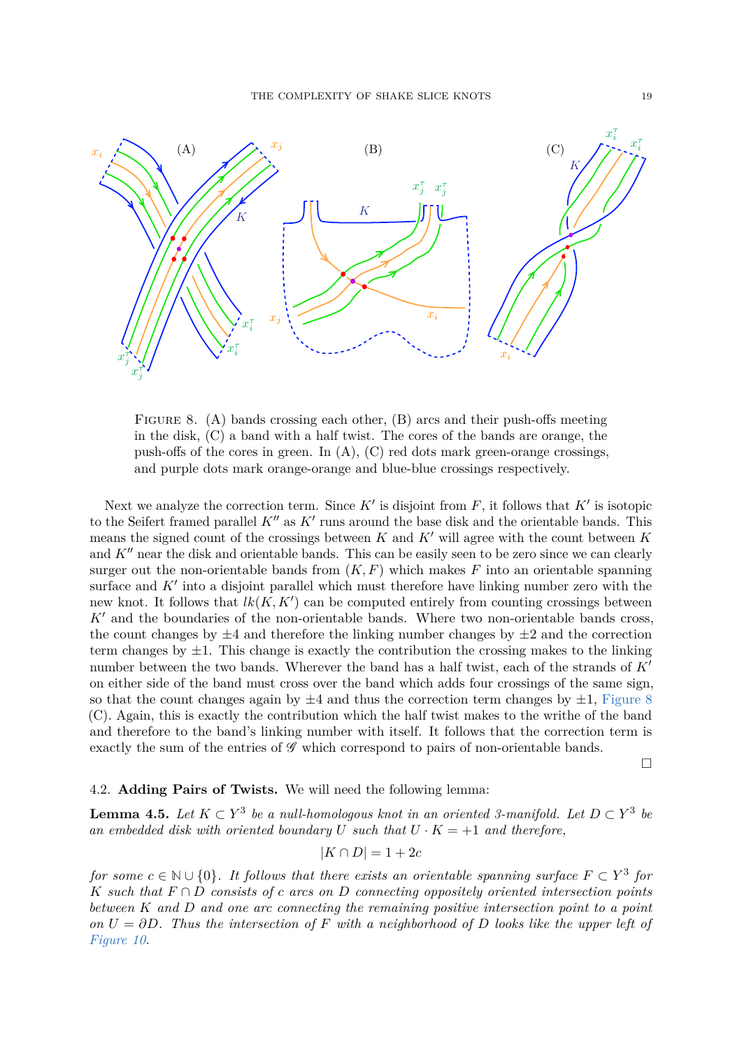<span id="page-18-0"></span>

Figure 8. (A) bands crossing each other, (B) arcs and their push-offs meeting in the disk, (C) a band with a half twist. The cores of the bands are orange, the push-offs of the cores in green. In  $(A)$ ,  $(C)$  red dots mark green-orange crossings, and purple dots mark orange-orange and blue-blue crossings respectively.

Next we analyze the correction term. Since  $K'$  is disjoint from  $F$ , it follows that  $K'$  is isotopic to the Seifert framed parallel  $K''$  as  $K'$  runs around the base disk and the orientable bands. This means the signed count of the crossings between  $K$  and  $K'$  will agree with the count between  $K$ and  $K''$  near the disk and orientable bands. This can be easily seen to be zero since we can clearly surger out the non-orientable bands from  $(K, F)$  which makes  $F$  into an orientable spanning surface and  $K'$  into a disjoint parallel which must therefore have linking number zero with the new knot. It follows that  $lk(K, K')$  can be computed entirely from counting crossings between  $K'$  and the boundaries of the non-orientable bands. Where two non-orientable bands cross, the count changes by  $\pm 4$  and therefore the linking number changes by  $\pm 2$  and the correction term changes by  $\pm 1$ . This change is exactly the contribution the crossing makes to the linking number between the two bands. Wherever the band has a half twist, each of the strands of  $K'$ on either side of the band must cross over the band which adds four crossings of the same sign, so that the count changes again by  $\pm 4$  and thus the correction term changes by  $\pm 1$ , [Figure 8](#page-18-0) (C). Again, this is exactly the contribution which the half twist makes to the writhe of the band and therefore to the band's linking number with itself. It follows that the correction term is exactly the sum of the entries of  $\mathscr G$  which correspond to pairs of non-orientable bands.

 $\Box$ 

## 4.2. **Adding Pairs of Twists.** We will need the following lemma:

<span id="page-18-1"></span>**Lemma 4.5.** Let  $K \subset Y^3$  be a null-homologous knot in an oriented 3-manifold. Let  $D \subset Y^3$  be an embedded disk with oriented boundary U such that  $U \cdot K = +1$  and therefore,

$$
|K \cap D| = 1 + 2c
$$

*for some*  $c \in \mathbb{N} \cup \{0\}$ . It follows that there exists an orientable spanning surface  $F \subset Y^3$  for *K such that F* ∩ *D consists of c arcs on D connecting oppositely oriented intersection points between K and D and one arc connecting the remaining positive intersection point to a point on*  $U = \partial D$ *. Thus the intersection of*  $F$  *with a neighborhood of*  $D$  *looks like the upper left of [Figure 10.](#page-20-0)*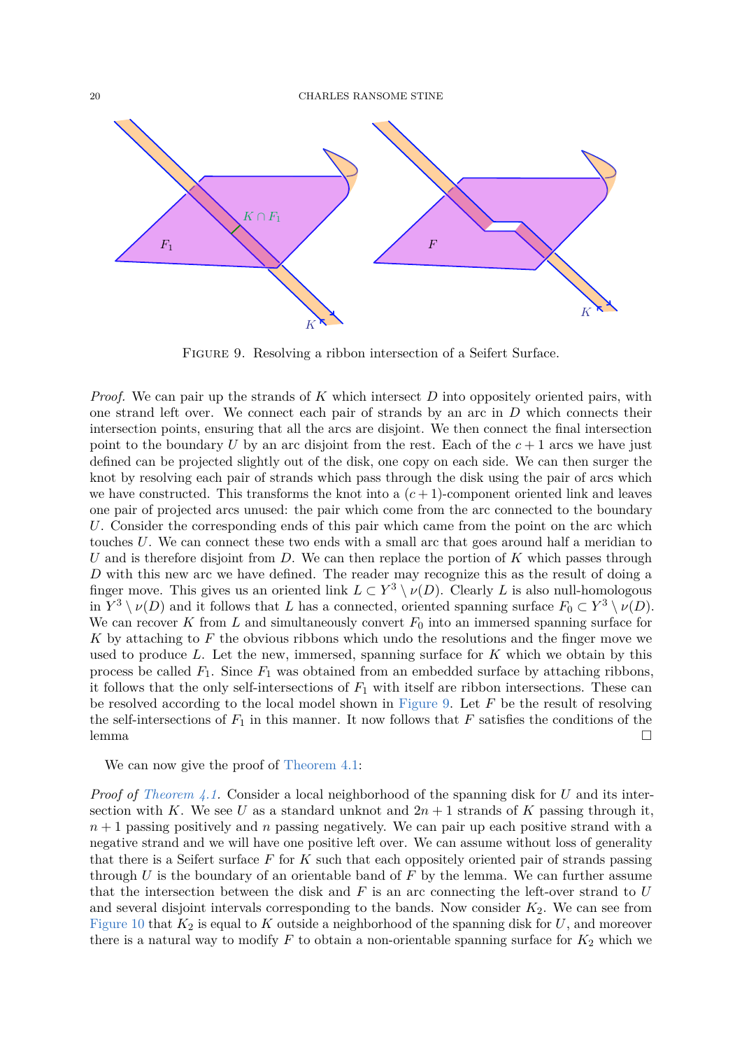<span id="page-19-0"></span>

Figure 9. Resolving a ribbon intersection of a Seifert Surface.

*Proof.* We can pair up the strands of *K* which intersect *D* into oppositely oriented pairs, with one strand left over. We connect each pair of strands by an arc in *D* which connects their intersection points, ensuring that all the arcs are disjoint. We then connect the final intersection point to the boundary *U* by an arc disjoint from the rest. Each of the  $c + 1$  arcs we have just defined can be projected slightly out of the disk, one copy on each side. We can then surger the knot by resolving each pair of strands which pass through the disk using the pair of arcs which we have constructed. This transforms the knot into a  $(c+1)$ -component oriented link and leaves one pair of projected arcs unused: the pair which come from the arc connected to the boundary *U*. Consider the corresponding ends of this pair which came from the point on the arc which touches *U*. We can connect these two ends with a small arc that goes around half a meridian to *U* and is therefore disjoint from *D*. We can then replace the portion of *K* which passes through *D* with this new arc we have defined. The reader may recognize this as the result of doing a finger move. This gives us an oriented link  $L \subset Y^3 \setminus \nu(D)$ . Clearly *L* is also null-homologous in  $Y^3 \setminus \nu(D)$  and it follows that *L* has a connected, oriented spanning surface  $F_0 \subset Y^3 \setminus \nu(D)$ . We can recover  $K$  from  $L$  and simultaneously convert  $F_0$  into an immersed spanning surface for *K* by attaching to *F* the obvious ribbons which undo the resolutions and the finger move we used to produce *L*. Let the new, immersed, spanning surface for *K* which we obtain by this process be called  $F_1$ . Since  $F_1$  was obtained from an embedded surface by attaching ribbons, it follows that the only self-intersections of  $F_1$  with itself are ribbon intersections. These can be resolved according to the local model shown in [Figure 9.](#page-19-0) Let *F* be the result of resolving the self-intersections of  $F_1$  in this manner. It now follows that  $F$  satisfies the conditions of the lemma and the set of the set of the set of the set of the set of the set of the set of the set of the set of the set of the set of the set of the set of the set of the set of the set of the set of the set of the set of the

We can now give the proof of [Theorem 4.1:](#page-15-0)

*Proof of [Theorem 4.1.](#page-15-0)* Consider a local neighborhood of the spanning disk for *U* and its intersection with *K*. We see *U* as a standard unknot and  $2n + 1$  strands of *K* passing through it, *n* + 1 passing positively and *n* passing negatively. We can pair up each positive strand with a negative strand and we will have one positive left over. We can assume without loss of generality that there is a Seifert surface *F* for *K* such that each oppositely oriented pair of strands passing through *U* is the boundary of an orientable band of *F* by the lemma. We can further assume that the intersection between the disk and *F* is an arc connecting the left-over strand to *U* and several disjoint intervals corresponding to the bands. Now consider  $K_2$ . We can see from [Figure 10](#page-20-0) that  $K_2$  is equal to  $K$  outside a neighborhood of the spanning disk for  $U$ , and moreover there is a natural way to modify  $F$  to obtain a non-orientable spanning surface for  $K_2$  which we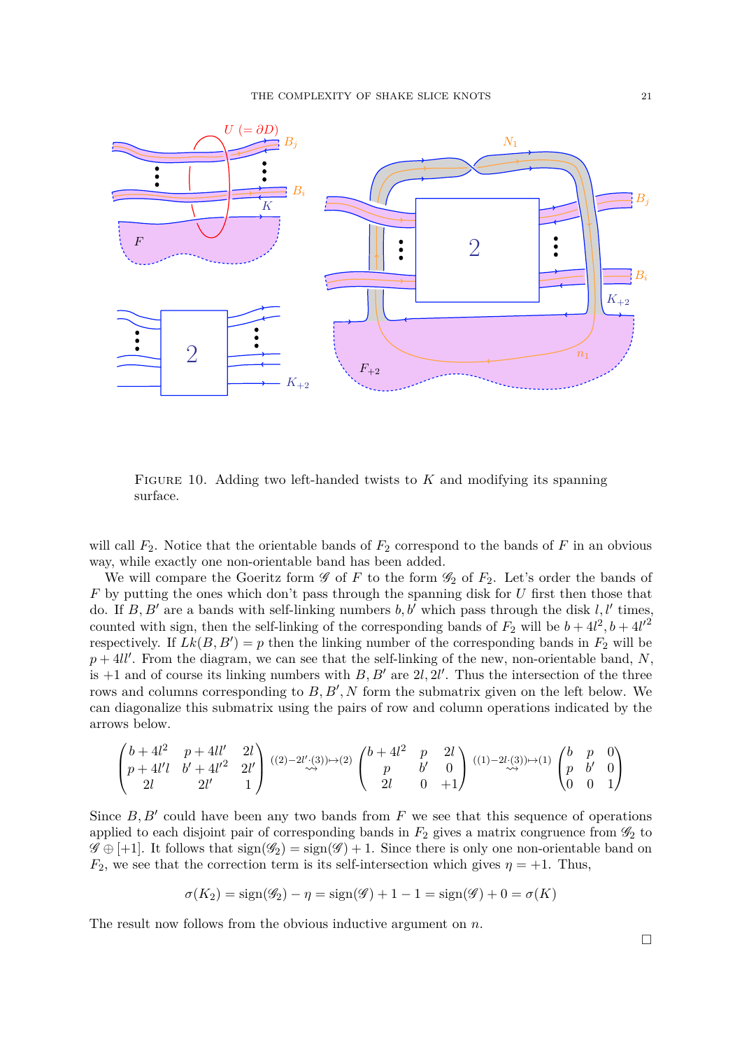<span id="page-20-0"></span>

Figure 10. Adding two left-handed twists to *K* and modifying its spanning surface.

will call  $F_2$ . Notice that the orientable bands of  $F_2$  correspond to the bands of  $F$  in an obvious way, while exactly one non-orientable band has been added.

We will compare the Goeritz form  $\mathscr G$  of  $F$  to the form  $\mathscr G_2$  of  $F_2$ . Let's order the bands of *F* by putting the ones which don't pass through the spanning disk for *U* first then those that do. If  $B, B'$  are a bands with self-linking numbers  $b, b'$  which pass through the disk  $l, l'$  times, counted with sign, then the self-linking of the corresponding bands of  $F_2$  will be  $b + 4l^2$ ,  $b + 4l'^2$ respectively. If  $Lk(B, B') = p$  then the linking number of the corresponding bands in  $F_2$  will be  $p + 4ll'$ . From the diagram, we can see that the self-linking of the new, non-orientable band, N, is  $+1$  and of course its linking numbers with  $B, B'$  are  $2l, 2l'$ . Thus the intersection of the three rows and columns corresponding to  $B, B', N$  form the submatrix given on the left below. We can diagonalize this submatrix using the pairs of row and column operations indicated by the arrows below.

$$
\begin{pmatrix} b+4l^2 & p+4ll' & 2l \\ p+4l'l & b'+4l'^2 & 2l' \\ 2l & 2l' & 1 \end{pmatrix} \stackrel{((2)-2l' \cdot (3)) \mapsto (2)}{\rightsquigarrow} \begin{pmatrix} b+4l^2 & p & 2l \\ p & b' & 0 \\ 2l & 0 & +1 \end{pmatrix} \stackrel{((1)-2l \cdot (3)) \mapsto (1)}{\rightsquigarrow} \begin{pmatrix} b & p & 0 \\ p & b' & 0 \\ 0 & 0 & 1 \end{pmatrix}
$$

Since  $B, B'$  could have been any two bands from  $F$  we see that this sequence of operations applied to each disjoint pair of corresponding bands in  $F_2$  gives a matrix congruence from  $\mathscr{G}_2$  to  $\mathscr{G} \oplus +1$ . It follows that  $sign(\mathscr{G}_2) = sign(\mathscr{G}) + 1$ . Since there is only one non-orientable band on  $F_2$ , we see that the correction term is its self-intersection which gives  $\eta = +1$ . Thus,

$$
\sigma(K_2) = sign(\mathscr{G}_2) - \eta = sign(\mathscr{G}) + 1 - 1 = sign(\mathscr{G}) + 0 = \sigma(K)
$$

The result now follows from the obvious inductive argument on *n*.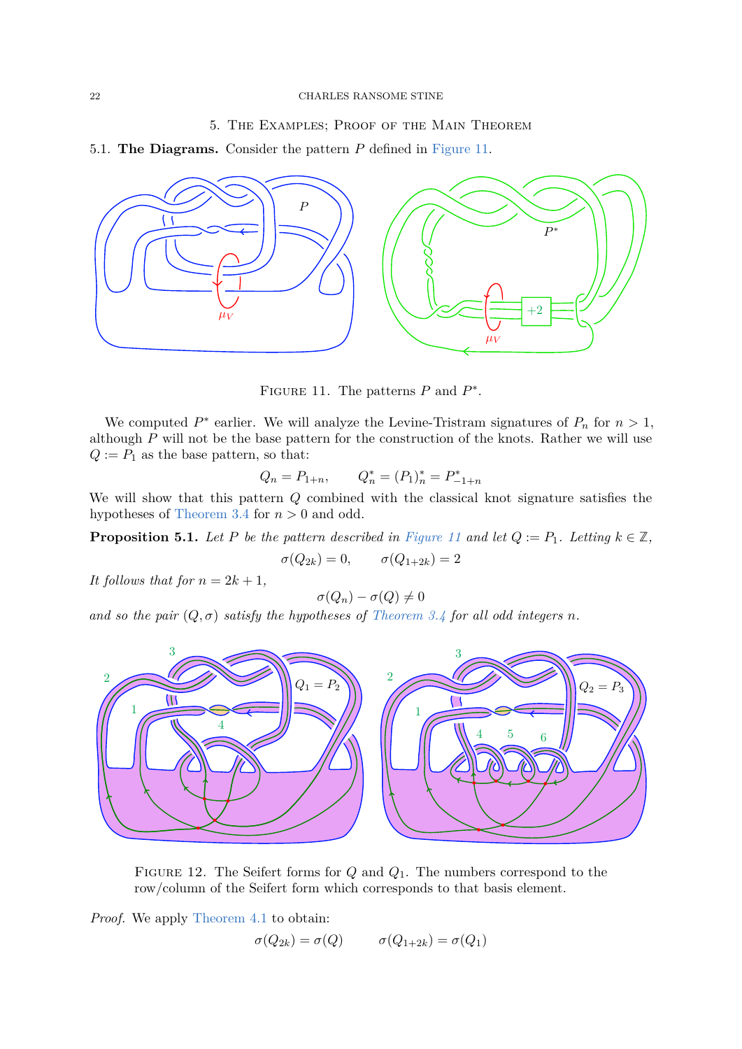# 5. The Examples; Proof of the Main Theorem

5.1. **The Diagrams.** Consider the pattern *P* defined in [Figure 11.](#page-21-0)

<span id="page-21-0"></span>

FIGURE 11. The patterns  $P$  and  $P^*$ .

We computed  $P^*$  earlier. We will analyze the Levine-Tristram signatures of  $P_n$  for  $n > 1$ , although *P* will not be the base pattern for the construction of the knots. Rather we will use  $Q := P_1$  as the base pattern, so that:

$$
Q_n = P_{1+n}, \qquad Q_n^* = (P_1)_n^* = P_{-1+n}^*
$$

We will show that this pattern *Q* combined with the classical knot signature satisfies the hypotheses of [Theorem 3.4](#page-14-0) for *n >* 0 and odd.

**Proposition 5.1.** *Let P be the pattern described in [Figure 11](#page-21-0) and let*  $Q := P_1$ *. Letting*  $k \in \mathbb{Z}$ *,* 

$$
\sigma(Q_{2k}) = 0, \qquad \sigma(Q_{1+2k}) = 2
$$

*It follows that for*  $n = 2k + 1$ ,

$$
\sigma(Q_n)-\sigma(Q)\neq 0
$$

*and so the pair*  $(Q, \sigma)$  *satisfy the hypotheses of [Theorem 3.4](#page-14-0) for all odd integers n.* 

<span id="page-21-1"></span>

Figure 12. The Seifert forms for *Q* and *Q*1. The numbers correspond to the row/column of the Seifert form which corresponds to that basis element.

*Proof.* We apply [Theorem 4.1](#page-15-0) to obtain:

$$
\sigma(Q_{2k}) = \sigma(Q) \qquad \sigma(Q_{1+2k}) = \sigma(Q_1)
$$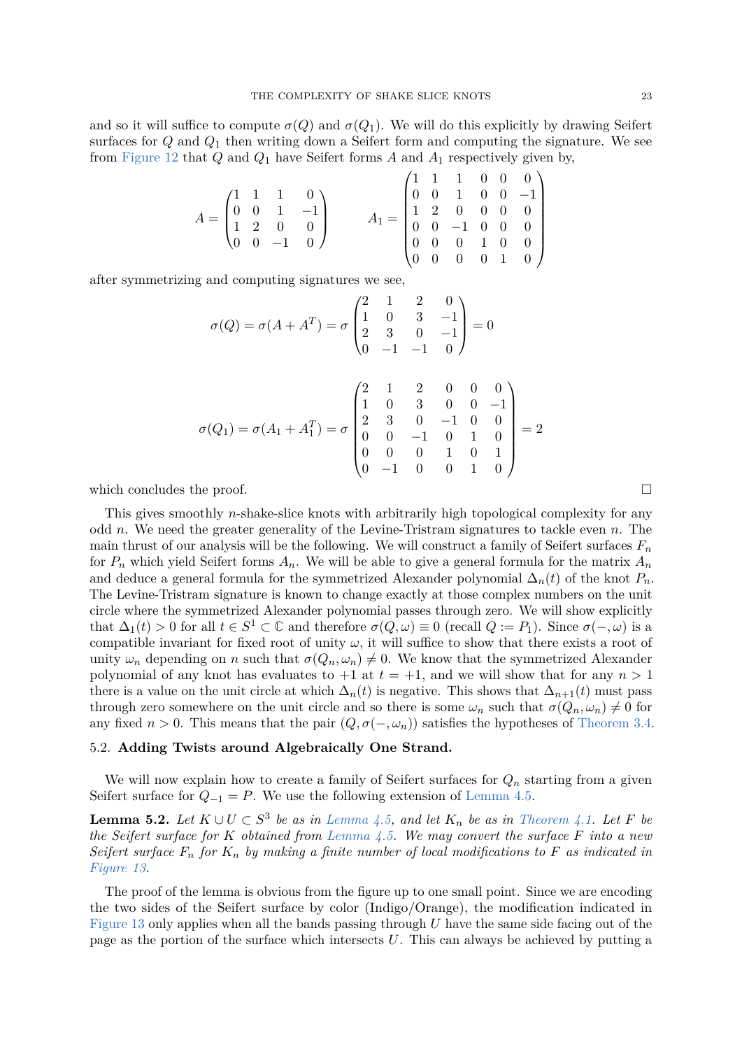and so it will suffice to compute  $\sigma(Q)$  and  $\sigma(Q_1)$ . We will do this explicitly by drawing Seifert surfaces for *Q* and *Q*<sup>1</sup> then writing down a Seifert form and computing the signature. We see from [Figure 12](#page-21-1) that *Q* and *Q*<sup>1</sup> have Seifert forms *A* and *A*<sup>1</sup> respectively given by,

| $A = \begin{pmatrix} 1 & 1 & 1 & 0 \\ 0 & 0 & 1 & -1 \\ 1 & 2 & 0 & 0 \\ 0 & 0 & -1 & 0 \end{pmatrix}$ |  |  |  | $A_1 = \left( \begin{matrix} 1 & 1 & 1 & 0 & 0 & 0 \ 0 & 0 & 1 & 0 & 0 & -1 \ 1 & 2 & 0 & 0 & 0 & 0 \ 0 & 0 & -1 & 0 & 0 & 0 \ 0 & 0 & 0 & 1 & 0 & 0 \ 0 & 0 & 0 & 0 & 1 & 0 \end{matrix} \right)$ |  |  |  |
|--------------------------------------------------------------------------------------------------------|--|--|--|----------------------------------------------------------------------------------------------------------------------------------------------------------------------------------------------------|--|--|--|
|                                                                                                        |  |  |  |                                                                                                                                                                                                    |  |  |  |
|                                                                                                        |  |  |  |                                                                                                                                                                                                    |  |  |  |
|                                                                                                        |  |  |  |                                                                                                                                                                                                    |  |  |  |
|                                                                                                        |  |  |  |                                                                                                                                                                                                    |  |  |  |

after symmetrizing and computing signatures we see,

$$
\sigma(Q) = \sigma(A + A^{T}) = \sigma \begin{pmatrix} 2 & 1 & 2 & 0 \\ 1 & 0 & 3 & -1 \\ 2 & 3 & 0 & -1 \\ 0 & -1 & -1 & 0 \end{pmatrix} = 0
$$

$$
\sigma(Q_{1}) = \sigma(A_{1} + A_{1}^{T}) = \sigma \begin{pmatrix} 2 & 1 & 2 & 0 & 0 & 0 \\ 1 & 0 & 3 & 0 & 0 & -1 \\ 2 & 3 & 0 & -1 & 0 & 0 \\ 0 & 0 & -1 & 0 & 1 & 0 \\ 0 & 0 & 0 & 1 & 0 & 1 \\ 0 & -1 & 0 & 0 & 1 & 0 \end{pmatrix} = 2
$$

which concludes the proof.  $\Box$ 

This gives smoothly *n*-shake-slice knots with arbitrarily high topological complexity for any odd *n*. We need the greater generality of the Levine-Tristram signatures to tackle even *n*. The main thrust of our analysis will be the following. We will construct a family of Seifert surfaces *F<sup>n</sup>* for  $P_n$  which yield Seifert forms  $A_n$ . We will be able to give a general formula for the matrix  $A_n$ and deduce a general formula for the symmetrized Alexander polynomial  $\Delta_n(t)$  of the knot  $P_n$ . The Levine-Tristram signature is known to change exactly at those complex numbers on the unit circle where the symmetrized Alexander polynomial passes through zero. We will show explicitly that  $\Delta_1(t) > 0$  for all  $t \in S^1 \subset \mathbb{C}$  and therefore  $\sigma(Q, \omega) \equiv 0$  (recall  $Q := P_1$ ). Since  $\sigma(-, \omega)$  is a compatible invariant for fixed root of unity  $\omega$ , it will suffice to show that there exists a root of unity  $\omega_n$  depending on *n* such that  $\sigma(Q_n, \omega_n) \neq 0$ . We know that the symmetrized Alexander polynomial of any knot has evaluates to  $+1$  at  $t = +1$ , and we will show that for any  $n > 1$ there is a value on the unit circle at which  $\Delta_n(t)$  is negative. This shows that  $\Delta_{n+1}(t)$  must pass through zero somewhere on the unit circle and so there is some  $\omega_n$  such that  $\sigma(Q_n, \omega_n) \neq 0$  for any fixed  $n > 0$ . This means that the pair  $(Q, \sigma(-, \omega_n))$  satisfies the hypotheses of [Theorem 3.4.](#page-14-0)

### 5.2. **Adding Twists around Algebraically One Strand.**

We will now explain how to create a family of Seifert surfaces for  $Q_n$  starting from a given Seifert surface for  $Q_{-1} = P$ . We use the following extension of [Lemma 4.5.](#page-18-1)

**Lemma 5.2.** *Let*  $K \cup U \subset S^3$  *be as in [Lemma 4.5,](#page-18-1) and let*  $K_n$  *be as in [Theorem 4.1.](#page-15-0) Let*  $F$  *be the Seifert surface for K obtained from [Lemma 4.5.](#page-18-1) We may convert the surface F into a new Seifert surface*  $F_n$  *for*  $K_n$  *by making a finite number of local modifications to*  $F$  *as indicated in [Figure 13.](#page-23-0)*

The proof of the lemma is obvious from the figure up to one small point. Since we are encoding the two sides of the Seifert surface by color (Indigo/Orange), the modification indicated in [Figure 13](#page-23-0) only applies when all the bands passing through *U* have the same side facing out of the page as the portion of the surface which intersects *U*. This can always be achieved by putting a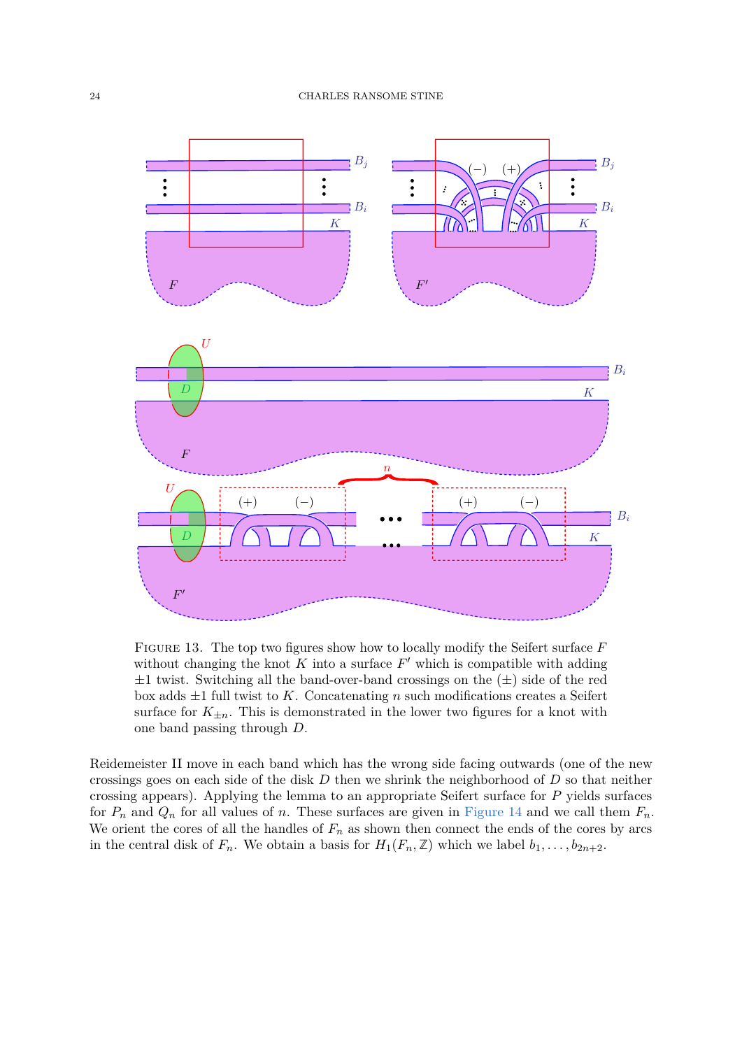<span id="page-23-0"></span>

Figure 13. The top two figures show how to locally modify the Seifert surface *F* without changing the knot  $K$  into a surface  $F'$  which is compatible with adding  $\pm 1$  twist. Switching all the band-over-band crossings on the  $(\pm)$  side of the red box adds  $\pm 1$  full twist to *K*. Concatenating *n* such modifications creates a Seifert surface for  $K_{\pm n}$ . This is demonstrated in the lower two figures for a knot with one band passing through *D*.

Reidemeister II move in each band which has the wrong side facing outwards (one of the new crossings goes on each side of the disk *D* then we shrink the neighborhood of *D* so that neither crossing appears). Applying the lemma to an appropriate Seifert surface for *P* yields surfaces for  $P_n$  and  $Q_n$  for all values of *n*. These surfaces are given in [Figure 14](#page-24-0) and we call them  $F_n$ . We orient the cores of all the handles of  $F_n$  as shown then connect the ends of the cores by arcs in the central disk of  $F_n$ . We obtain a basis for  $H_1(F_n, \mathbb{Z})$  which we label  $b_1, \ldots, b_{2n+2}$ .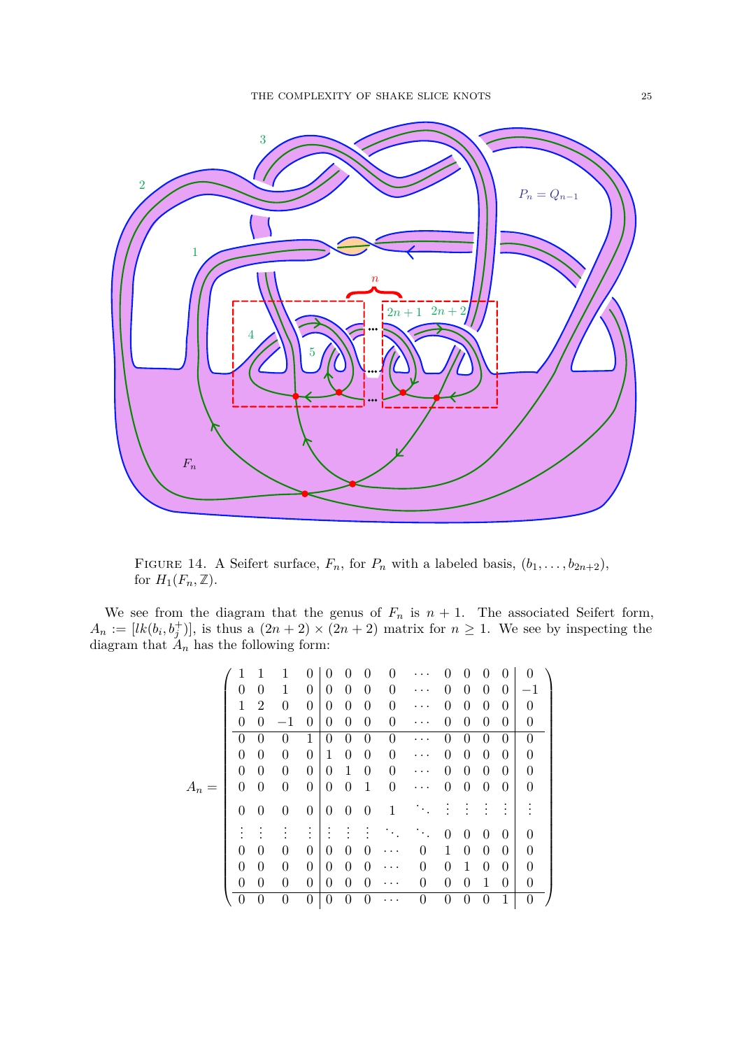<span id="page-24-0"></span>

FIGURE 14. A Seifert surface,  $F_n$ , for  $P_n$  with a labeled basis,  $(b_1, \ldots, b_{2n+2})$ , for  $H_1(F_n, \mathbb{Z})$ .

We see from the diagram that the genus of  $F_n$  is  $n + 1$ . The associated Seifert form,  $A_n := [lk(b_i, b_j^+)]$ , is thus a  $(2n + 2) \times (2n + 2)$  matrix for  $n \ge 1$ . We see by inspecting the diagram that  $A_n$  has the following form:

|       |                |                |                  | 0                | 0                | 0                | 0                | 0        |          |                |                | 0                | 0                | 0              |
|-------|----------------|----------------|------------------|------------------|------------------|------------------|------------------|----------|----------|----------------|----------------|------------------|------------------|----------------|
|       | 0              | 0              | 1                | 0                | $\boldsymbol{0}$ | $\boldsymbol{0}$ | $\overline{0}$   | $\theta$ |          | 0              | $\theta$       | 0                | $\boldsymbol{0}$ | $^{-1}$        |
|       | $\mathbf{1}$   | $\overline{2}$ | $\theta$         | $\overline{0}$   | $\boldsymbol{0}$ | $\boldsymbol{0}$ | $\theta$         | $\theta$ | .        | 0              | $\theta$       | 0                | 0                | 0              |
|       | $\theta$       | $\theta$       | $^{-1}$          | 0                | 0                | $\boldsymbol{0}$ | $\theta$         | $\theta$ | .        | $\theta$       | $\overline{0}$ | $\theta$         | 0                | 0              |
|       | $\Omega$       | $\theta$       | $\theta$         | 1                | $\theta$         | $\theta$         | $\boldsymbol{0}$ | $\theta$ |          | $\theta$       | $\overline{0}$ | $\overline{0}$   | $\theta$         | $\theta$       |
|       | 0              | $\overline{0}$ | $\theta$         | $\overline{0}$   | $\mathbf{1}$     | $\boldsymbol{0}$ | $\theta$         | $\theta$ | .        | $\theta$       | $\overline{0}$ | 0                | $\overline{0}$   | $\theta$       |
|       | $\overline{0}$ | $\overline{0}$ | $\theta$         | $\boldsymbol{0}$ | $\overline{0}$   | $\mathbf{1}$     | $\theta$         | $\theta$ |          | 0              | $\theta$       | $\theta$         | $\theta$         | 0              |
| $A_n$ | $\theta$       | $\theta$       | $\boldsymbol{0}$ | $\boldsymbol{0}$ | $\boldsymbol{0}$ | $\boldsymbol{0}$ | $\mathbf{1}$     | $\theta$ | $\cdots$ | 0              | $\theta$       | $\theta$         | $\boldsymbol{0}$ | 0              |
|       | $\theta$       | $\overline{0}$ | $\overline{0}$   | $\theta$         | $\theta$         | $\theta$         | $\theta$         | 1        |          |                |                |                  |                  |                |
|       |                |                |                  | $\bullet$        |                  |                  |                  |          |          | 0              | $\theta$       | $\theta$         | $\theta$         | $\theta$       |
|       | $\theta$       | $\theta$       | $\Omega$         | $\theta$         | $\theta$         | 0                | $\theta$         |          | 0        | 1              | $\overline{0}$ | $\theta$         | $\overline{0}$   | $\theta$       |
|       | 0              | $\overline{0}$ | $\theta$         | $\boldsymbol{0}$ | $\overline{0}$   | $\boldsymbol{0}$ | $\boldsymbol{0}$ |          | 0        | 0              | $\mathbf 1$    | 0                | $\boldsymbol{0}$ | 0              |
|       | $\overline{0}$ | $\overline{0}$ | $\boldsymbol{0}$ | $\boldsymbol{0}$ | $\overline{0}$   | $\boldsymbol{0}$ | $\overline{0}$   |          | 0        | $\overline{0}$ | $\theta$       | $\mathbf 1$      | $\theta$         | $\overline{0}$ |
|       |                | 0              | 0                | 0                | $\overline{0}$   | 0                | $\theta$         |          | 0        | 0              | $\overline{0}$ | $\boldsymbol{0}$ | 1                | $\theta$       |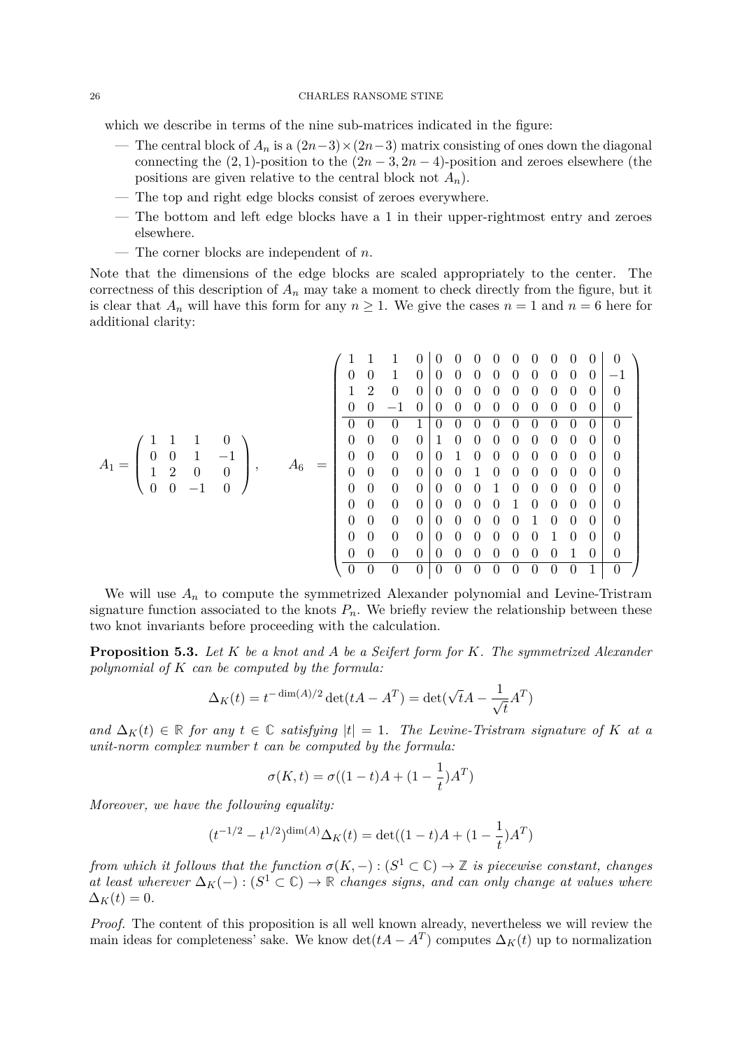#### 26 CHARLES RANSOME STINE

which we describe in terms of the nine sub-matrices indicated in the figure:

- The central block of  $A_n$  is a  $(2n-3) \times (2n-3)$  matrix consisting of ones down the diagonal connecting the  $(2, 1)$ -position to the  $(2n - 3, 2n - 4)$ -position and zeroes elsewhere (the positions are given relative to the central block not  $A_n$ ).
- The top and right edge blocks consist of zeroes everywhere.
- The bottom and left edge blocks have a 1 in their upper-rightmost entry and zeroes elsewhere.
- The corner blocks are independent of *n*.

Note that the dimensions of the edge blocks are scaled appropriately to the center. The correctness of this description of *A<sup>n</sup>* may take a moment to check directly from the figure, but it is clear that  $A_n$  will have this form for any  $n \geq 1$ . We give the cases  $n = 1$  and  $n = 6$  here for additional clarity:

*A*<sup>1</sup> = 1 1 1 0 0 0 1 −1 1 2 0 0 0 0 −1 0 *, A*<sup>6</sup> = 1 1 1 0 0 0 0 0 0 0 0 0 0 0 0 0 1 0 0 0 0 0 0 0 0 0 0 −1 1 2 0 0 0 0 0 0 0 0 0 0 0 0 0 0 −1 0 0 0 0 0 0 0 0 0 0 0 0 0 0 1 0 0 0 0 0 0 0 0 0 0 0 0 0 0 1 0 0 0 0 0 0 0 0 0 0 0 0 0 0 1 0 0 0 0 0 0 0 0 0 0 0 0 0 0 1 0 0 0 0 0 0 0 0 0 0 0 0 0 0 1 0 0 0 0 0 0 0 0 0 0 0 0 0 0 1 0 0 0 0 0 0 0 0 0 0 0 0 0 0 1 0 0 0 0 0 0 0 0 0 0 0 0 0 0 1 0 0 0 0 0 0 0 0 0 0 0 0 0 0 1 0 0 0 0 0 0 0 0 0 0 0 0 0 0 1 0 

We will use  $A_n$  to compute the symmetrized Alexander polynomial and Levine-Tristram signature function associated to the knots  $P_n$ . We briefly review the relationship between these two knot invariants before proceeding with the calculation.

<span id="page-25-0"></span>**Proposition 5.3.** *Let K be a knot and A be a Seifert form for K. The symmetrized Alexander polynomial of K can be computed by the formula:*

$$
\Delta_K(t) = t^{-\dim(A)/2} \det(tA - A^T) = \det(\sqrt{t}A - \frac{1}{\sqrt{t}}A^T)
$$

*and*  $\Delta_K(t)$  ∈ **R** *for any*  $t \in \mathbb{C}$  *satisfying*  $|t| = 1$ *. The Levine-Tristram signature of K at a unit-norm complex number t can be computed by the formula:*

$$
\sigma(K,t) = \sigma((1-t)A + (1-\frac{1}{t})A^T)
$$

*Moreover, we have the following equality:*

$$
(t^{-1/2} - t^{1/2})^{\dim(A)} \Delta_K(t) = \det((1-t)A + (1 - \frac{1}{t})A^T)
$$

*from which it follows that the function*  $\sigma(K, -) : (S^1 \subset \mathbb{C}) \to \mathbb{Z}$  *is piecewise constant, changes at least wherever*  $\Delta_K(-): (S^1 \subset \mathbb{C}) \rightarrow \mathbb{R}$  *changes signs, and can only change at values where*  $\Delta_K(t) = 0.$ 

*Proof.* The content of this proposition is all well known already, nevertheless we will review the main ideas for completeness' sake. We know  $\det(tA - A^T)$  computes  $\Delta_K(t)$  up to normalization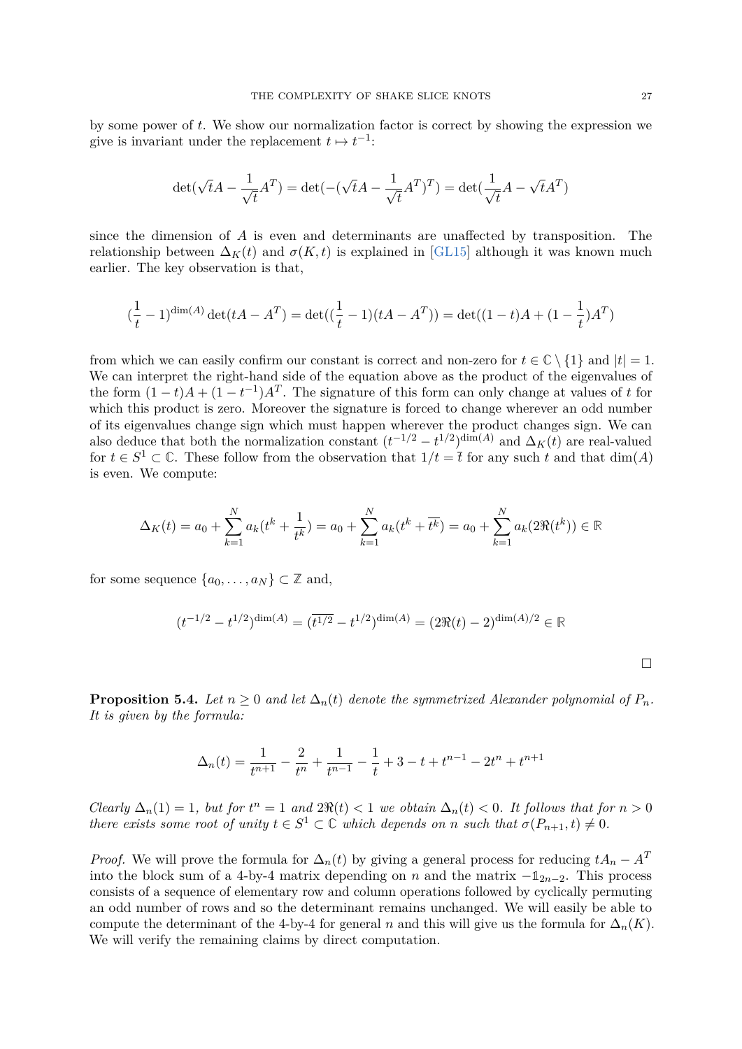by some power of *t*. We show our normalization factor is correct by showing the expression we give is invariant under the replacement  $t \mapsto t^{-1}$ :

$$
\det(\sqrt{t}A - \frac{1}{\sqrt{t}}A^T) = \det(-(\sqrt{t}A - \frac{1}{\sqrt{t}}A^T)^T) = \det(\frac{1}{\sqrt{t}}A - \sqrt{t}A^T)
$$

since the dimension of *A* is even and determinants are unaffected by transposition. The relationship between  $\Delta_K(t)$  and  $\sigma(K,t)$  is explained in [\[GL15\]](#page-31-11) although it was known much earlier. The key observation is that,

$$
(\frac{1}{t} - 1)^{\dim(A)} \det(tA - A^T) = \det((\frac{1}{t} - 1)(tA - A^T)) = \det((1 - t)A + (1 - \frac{1}{t})A^T)
$$

from which we can easily confirm our constant is correct and non-zero for  $t \in \mathbb{C} \setminus \{1\}$  and  $|t| = 1$ . We can interpret the right-hand side of the equation above as the product of the eigenvalues of the form  $(1-t)A + (1-t^{-1})A<sup>T</sup>$ . The signature of this form can only change at values of *t* for which this product is zero. Moreover the signature is forced to change wherever an odd number of its eigenvalues change sign which must happen wherever the product changes sign. We can also deduce that both the normalization constant  $(t^{-1/2} - t^{1/2})^{\dim(A)}$  and  $\Delta_K(t)$  are real-valued for  $t \in S^1 \subset \mathbb{C}$ . These follow from the observation that  $1/t = \overline{t}$  for any such  $t$  and that  $\dim(A)$ is even. We compute:

$$
\Delta_K(t) = a_0 + \sum_{k=1}^{N} a_k (t^k + \frac{1}{t^k}) = a_0 + \sum_{k=1}^{N} a_k (t^k + \overline{t^k}) = a_0 + \sum_{k=1}^{N} a_k (2\Re(t^k)) \in \mathbb{R}
$$

for some sequence  $\{a_0, \ldots, a_N\} \subset \mathbb{Z}$  and,

$$
(t^{-1/2} - t^{1/2})^{\dim(A)} = (\overline{t^{1/2}} - t^{1/2})^{\dim(A)} = (2\Re(t) - 2)^{\dim(A)/2} \in \mathbb{R}
$$

 $\Box$ 

<span id="page-26-0"></span>**Proposition 5.4.** *Let*  $n \geq 0$  *and let*  $\Delta_n(t)$  *denote the symmetrized Alexander polynomial of*  $P_n$ *. It is given by the formula:*

$$
\Delta_n(t) = \frac{1}{t^{n+1}} - \frac{2}{t^n} + \frac{1}{t^{n-1}} - \frac{1}{t} + 3 - t + t^{n-1} - 2t^n + t^{n+1}
$$

*Clearly*  $\Delta_n(1) = 1$ *, but for*  $t^n = 1$  *and*  $2\Re(t) < 1$  *we obtain*  $\Delta_n(t) < 0$ *. It follows that for*  $n > 0$ *there exists some root of unity*  $t \in S^1 \subset \mathbb{C}$  *which depends on n such that*  $\sigma(P_{n+1}, t) \neq 0$ *.* 

*Proof.* We will prove the formula for  $\Delta_n(t)$  by giving a general process for reducing  $tA_n - A^T$ into the block sum of a 4-by-4 matrix depending on *n* and the matrix  $-\mathbb{1}_{2n-2}$ . This process consists of a sequence of elementary row and column operations followed by cyclically permuting an odd number of rows and so the determinant remains unchanged. We will easily be able to compute the determinant of the 4-by-4 for general *n* and this will give us the formula for  $\Delta_n(K)$ . We will verify the remaining claims by direct computation.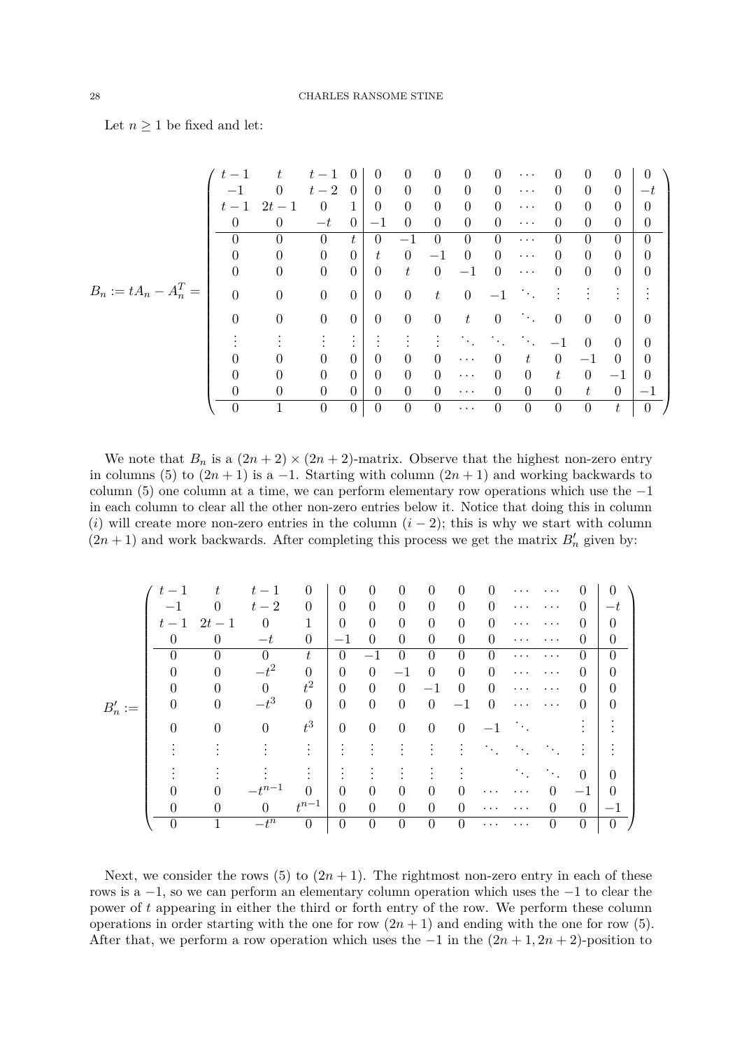Let  $n \geq 1$  be fixed and let:

|                         |                |                  | $t -$            |                | $^{(1)}$       | $\Omega$       | $\Omega$       | $\Omega$         | $\Omega$       | $\cdots$       | 0              | 0               | $\Omega$         | 0                |
|-------------------------|----------------|------------------|------------------|----------------|----------------|----------------|----------------|------------------|----------------|----------------|----------------|-----------------|------------------|------------------|
|                         | -1             | $\Omega$         | $t-2$            | $\Omega$       | 0              | $\Omega$       | $\overline{0}$ | $\overline{0}$   | $\theta$       | $\cdots$       | $\Omega$       | $\theta$        | $\overline{0}$   | $-t$             |
|                         | $t-1$          | 2t<br>$-1$       | $\theta$         | 1              | $\Omega$       | $\overline{0}$ | $\overline{0}$ | $\boldsymbol{0}$ | $\overline{0}$ | $\cdots$       | $\theta$       | $\theta$        | $\overline{0}$   | 0                |
|                         | $\theta$       | $\Omega$         | $-t$             | $\theta$       | $-1$           | $\Omega$       | $\overline{0}$ | $\overline{0}$   | $\Omega$       | $\cdots$       | 0              | $\theta$        | $\boldsymbol{0}$ | $\boldsymbol{0}$ |
|                         | $\Omega$       | $\theta$         | $\overline{0}$   | t              | $\overline{0}$ | $-1$           | $\overline{0}$ | $\overline{0}$   | $\Omega$       | $\cdots$       | 0              | $\Omega$        | $\overline{0}$   | $\overline{0}$   |
|                         | $\theta$       | $\theta$         | $\boldsymbol{0}$ | $\overline{0}$ | t              | $\Omega$       | $-1$           | $\Omega$         | $\Omega$       | $\cdots$       | 0              | $\theta$        | $\overline{0}$   | $\overline{0}$   |
|                         | $\theta$       | $\theta$         | $\boldsymbol{0}$ | $\Omega$       | $\theta$       | t              | $\overline{0}$ | $-1$             | $\theta$       | $\cdots$       | 0              | $\overline{0}$  | $\overline{0}$   | 0                |
| $B_n := tA_n - A_n^T =$ | $\overline{0}$ | $\boldsymbol{0}$ | $\boldsymbol{0}$ | $\theta$       | $\theta$       | $\overline{0}$ | $t\,$          | $\overline{0}$   | $-1$           | ٠.,            |                |                 |                  |                  |
|                         | $\overline{0}$ | $\theta$         | $\boldsymbol{0}$ | $\overline{0}$ | $\overline{0}$ | $\overline{0}$ | $\overline{0}$ | $t\,$            | $\overline{0}$ | $\sim 100$     | $\overline{0}$ | $\overline{0}$  | $\overline{0}$   | $\theta$         |
|                         |                |                  |                  | ٠              |                |                |                |                  |                |                |                | $\Omega$        | $\Omega$         | $\theta$         |
|                         | $\overline{0}$ | 0                | $\overline{0}$   | $\theta$       | 0              | $\Omega$       | $\theta$       | $\cdots$         | $\Omega$       | t              | $\overline{0}$ | $-1$            | $\overline{0}$   | 0                |
|                         | $\theta$       | $\Omega$         | $\theta$         | $\Omega$       | 0              | $\Omega$       | $\theta$       | $\cdots$         | $\theta$       | $\overline{0}$ | $t\,$          | $\overline{0}$  | $^{\rm -1}$      | $\Omega$         |
|                         | $\overline{0}$ | $\overline{0}$   | $\overline{0}$   | $\overline{0}$ | 0              | $\Omega$       | $\overline{0}$ | $\cdots$         | $\Omega$       | $\overline{0}$ | $\overline{0}$ | $t_{\parallel}$ | $\theta$         | $^{-1}$          |
|                         | $\theta$       |                  | $\overline{0}$   | $\overline{0}$ | $\overline{0}$ | $\theta$       | $\theta$       | $\cdots$         | $\overline{0}$ | $\theta$       | $\overline{0}$ | $\theta$        | $t\,$            | $\overline{0}$   |

We note that  $B_n$  is a  $(2n + 2) \times (2n + 2)$ -matrix. Observe that the highest non-zero entry in columns (5) to  $(2n + 1)$  is a -1. Starting with column  $(2n + 1)$  and working backwards to column (5) one column at a time, we can perform elementary row operations which use the  $-1$ in each column to clear all the other non-zero entries below it. Notice that doing this in column (*i*) will create more non-zero entries in the column  $(i - 2)$ ; this is why we start with column  $(2n + 1)$  and work backwards. After completing this process we get the matrix  $B'_n$  given by:

|           | $t -$          |                | $t-1$      | $\theta$         | $\Omega$         | 0                |                | $\theta$         |                |          |          |                        |                  | 0        |
|-----------|----------------|----------------|------------|------------------|------------------|------------------|----------------|------------------|----------------|----------|----------|------------------------|------------------|----------|
|           |                |                | $t-2$      | $\theta$         | $\theta$         | $\theta$         | $\Omega$       | $\theta$         | $\Omega$       | 0        | .        | .                      | $\theta$         | $-t$     |
|           | $t-1$          | $2t-1$         | 0          | 1                | $\Omega$         | $\theta$         | $\theta$       | $\overline{0}$   | $\Omega$       | $\Omega$ |          |                        | $\left( \right)$ | 0        |
|           | $\Omega$       | 0              | $-t$       | $\boldsymbol{0}$ | $-1$             | $\Omega$         | $\Omega$       | $\Omega$         | $\Omega$       | $\Omega$ | $\cdots$ | .                      | 0                | $\theta$ |
|           | $\Omega$       | $\Omega$       | $\Omega$   | t                | $\overline{0}$   | $-1$             | 0              | $\Omega$         | 0              | $\Omega$ |          |                        | 0                | $\theta$ |
|           | 0              | $\Omega$       | $-t^2$     | $\theta$         | $\overline{0}$   | $\theta$         | $-1$           | $\theta$         | $\Omega$       | $\Omega$ | .        | .                      | 0                | 0        |
|           | $\overline{0}$ | $\overline{0}$ | $\Omega$   | $t^2$            | $\overline{0}$   | $\overline{0}$   | $\theta$       | $-1$             | $\Omega$       | $\Omega$ |          |                        | $\left( \right)$ | 0        |
| $B'_n :=$ | $\Omega$       | $\overline{0}$ | $-t^3$     | $\overline{0}$   | $\boldsymbol{0}$ | $\overline{0}$   | $\overline{0}$ | $\theta$         | $-1$           | $\Omega$ | $\cdots$ | .                      | $\theta$         | 0        |
|           | $\theta$       | $\theta$       | $\theta$   | $t^3\,$          | $\theta$         | $\theta$         | $\overline{0}$ | $\theta$         | $\overline{0}$ |          |          |                        |                  |          |
|           |                |                |            |                  | $\bullet$        |                  |                |                  |                |          |          |                        |                  |          |
|           |                |                |            |                  |                  |                  |                |                  |                |          |          | $\ddot{\phantom{a}}$ . | $\theta$         | 0        |
|           |                |                | $-t^{n-1}$ | $\Omega$         | $\Omega$         | $\theta$         | $\theta$       | 0                | 0              |          |          | 0                      | $-1$             | $\Omega$ |
|           | 0              | $\theta$       | $\theta$   | $t^{n-1}$        | $\overline{0}$   | $\overline{0}$   | $\overline{0}$ | $\overline{0}$   | $\Omega$       |          |          |                        | $\theta$         | $-1$     |
|           | $\Omega$       |                | $-t^n$     | $\theta$         | $\boldsymbol{0}$ | $\boldsymbol{0}$ | $\theta$       | $\boldsymbol{0}$ | $\theta$       |          |          |                        | $\boldsymbol{0}$ | $\theta$ |

Next, we consider the rows (5) to  $(2n + 1)$ . The rightmost non-zero entry in each of these rows is a −1, so we can perform an elementary column operation which uses the −1 to clear the power of *t* appearing in either the third or forth entry of the row. We perform these column operations in order starting with the one for row  $(2n + 1)$  and ending with the one for row (5). After that, we perform a row operation which uses the  $-1$  in the  $(2n + 1, 2n + 2)$ -position to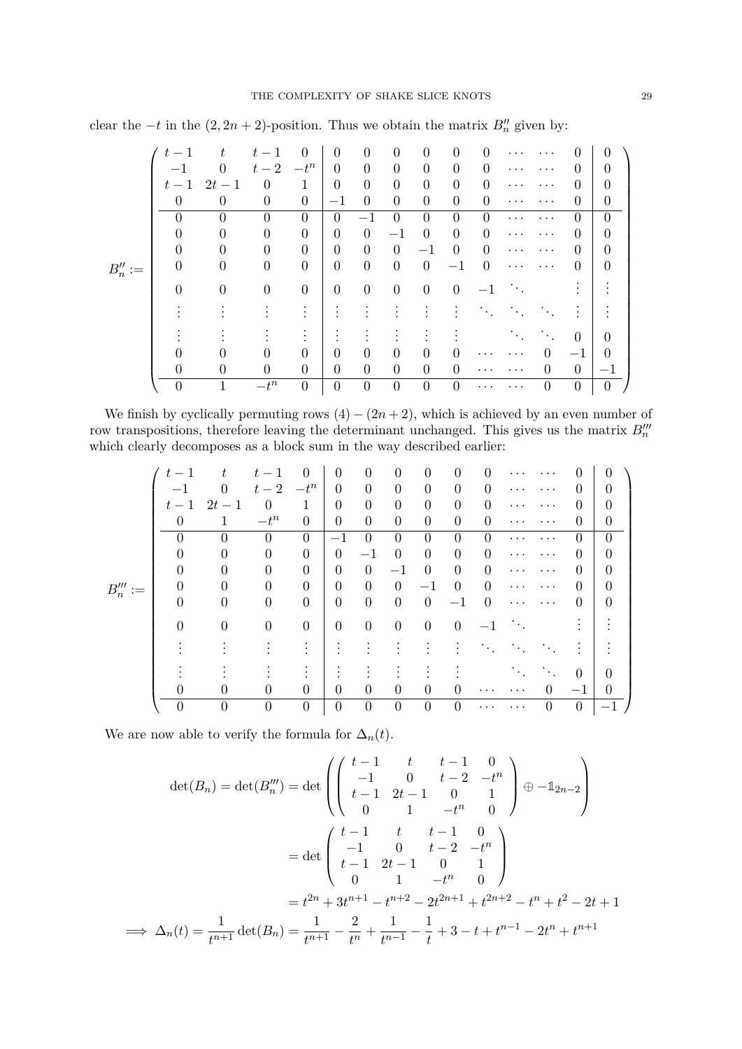|            | $t-1$    |                  |                | $\theta$         | $\theta$         | $\theta$       | $\theta$         | $\theta$         | 0              | 0              |          |                      |                | $\theta$         |
|------------|----------|------------------|----------------|------------------|------------------|----------------|------------------|------------------|----------------|----------------|----------|----------------------|----------------|------------------|
|            | $-1$     | $\Omega$         | $t-2$          | $-t^n$           | $\overline{0}$   | 0              | $\boldsymbol{0}$ | $\theta$         | $\overline{0}$ | 0              | .        |                      | 0              | 0                |
|            | $t-1$    | $2t-1$           | $\theta$       | 1                | $\overline{0}$   | $\theta$       | $\boldsymbol{0}$ | $\boldsymbol{0}$ | $\theta$       | $\Omega$       | .        |                      | 0              |                  |
|            | $\theta$ | $\theta$         | $\overline{0}$ | $\theta$         | $-1$             | $\theta$       | $\theta$         | $\overline{0}$   | $\theta$       | $\overline{0}$ | .        | .                    | 0              | 0                |
|            |          | $\Omega$         | 0              | $\theta$         | $\theta$         |                | $\theta$         | $\theta$         | $\overline{0}$ | 0              | $\cdots$ | .                    | $\Omega$       | 0                |
|            | 0        | $\Omega$         | $\Omega$       | $\theta$         | $\overline{0}$   | $\theta$       | $^{\rm -1}$      | $\Omega$         | $\theta$       | $\Omega$       | .        | .                    | 0              | 0                |
|            | 0        | 0                | 0              | $\theta$         | $\overline{0}$   | $\theta$       | $\theta$         | $-1$             | $\theta$       | 0              | .        |                      | 0              | 0                |
| $B''_n :=$ | $\theta$ | $\theta$         | 0              | $\overline{0}$   | $\boldsymbol{0}$ | $\theta$       | $\theta$         | $\overline{0}$   | $^{-1}$        | $\theta$       | .        |                      | 0              | 0                |
|            | 0        | $\overline{0}$   | $\overline{0}$ | $\boldsymbol{0}$ | $\boldsymbol{0}$ | $\theta$       | $\theta$         | $\boldsymbol{0}$ | $\overline{0}$ | $-1$           |          |                      |                |                  |
|            |          |                  |                |                  |                  |                |                  |                  |                |                |          |                      |                |                  |
|            |          |                  |                |                  |                  |                |                  |                  |                |                |          | $\ddot{\phantom{a}}$ | $\overline{0}$ | 0                |
|            |          |                  |                | $\theta$         | $\theta$         | $\Omega$       | $\theta$         | $\Omega$         | 0              |                |          | $\Omega$             | $-1$           | 0                |
|            | O        | $\boldsymbol{0}$ | 0              | $\boldsymbol{0}$ | $\boldsymbol{0}$ | $\theta$       | $\boldsymbol{0}$ | $\boldsymbol{0}$ | 0              |                | .        | 0                    | $\theta$       | $-1$             |
|            | $\Omega$ |                  | $-t^n$         | $\boldsymbol{0}$ | $\theta$         | $\overline{0}$ | $\overline{0}$   | $\boldsymbol{0}$ | $\overline{0}$ |                |          | $\overline{0}$       | $\theta$       | $\boldsymbol{0}$ |

clear the  $-t$  in the  $(2, 2n + 2)$ -position. Thus we obtain the matrix  $B''_n$  given by:

We finish by cyclically permuting rows  $(4) - (2n + 2)$ , which is achieved by an even number of row transpositions, therefore leaving the determinant unchanged. This gives us the matrix  $B_n^{\prime\prime}$ which clearly decomposes as a block sum in the way described earlier:

|             | $t-1$          |              |          | $\theta$         | $\theta$       | $\theta$         | 0                | 0                | $\theta$       | 0        |                        |                        |                | 0        |
|-------------|----------------|--------------|----------|------------------|----------------|------------------|------------------|------------------|----------------|----------|------------------------|------------------------|----------------|----------|
|             | $-1$           |              | $t-2$    | $-t^n$           | $\Omega$       | $\theta$         | $\overline{0}$   | $\overline{0}$   | $\theta$       | 0        | $\cdots$               | $\cdots$               | $\theta$       | 0        |
|             |                | $t-1$ $2t-1$ | $\theta$ | 1                | $\theta$       | $\boldsymbol{0}$ | $\boldsymbol{0}$ | $\boldsymbol{0}$ | $\theta$       | $\Omega$ | .                      |                        | 0              | 0        |
|             | $\Omega$       |              | $-t^n$   | $\boldsymbol{0}$ | $\theta$       | $\theta$         | $\boldsymbol{0}$ | $\boldsymbol{0}$ | $\theta$       | 0        | .                      |                        | $\Omega$       | 0        |
|             | $\theta$       | 0            |          | $\Omega$         | $-1$           | 0                | $\overline{0}$   | $\overline{0}$   | $\theta$       | $\Omega$ |                        |                        | $\theta$       | 0        |
|             | $\theta$       |              | 0        | $\overline{0}$   | $\theta$       | $^{-1}$          | $\theta$         | $\overline{0}$   | $\theta$       | $\Omega$ | $\cdots$               |                        | 0              | 0        |
|             | $\theta$       |              |          | $\overline{0}$   | $\Omega$       | $\overline{0}$   | $-1$             | $\overline{0}$   | $\theta$       | 0        | .                      |                        | 0              | 0        |
| $B_n''' :=$ | $\theta$       |              |          | $\overline{0}$   | $\Omega$       | $\theta$         | $\overline{0}$   | $-1$             | $\Omega$       | 0        | . .                    |                        | 0              | 0        |
|             | $\overline{0}$ | 0            |          | $\overline{0}$   | $\theta$       | $\theta$         | $\overline{0}$   | $\overline{0}$   | $^{-1}$        | 0        | .                      |                        | 0              | 0        |
|             | $\theta$       | $\theta$     | $\Omega$ | $\boldsymbol{0}$ | $\overline{0}$ | $\overline{0}$   | $\overline{0}$   | $\theta$         | $\overline{0}$ | $-1$     | $\ddot{\phantom{a}}$ . |                        |                |          |
|             |                |              |          |                  |                |                  |                  |                  |                |          |                        |                        |                |          |
|             |                |              |          |                  |                |                  |                  |                  |                |          |                        | $\ddot{\phantom{a}}$ . | $\theta$       | 0        |
|             | $\theta$       |              |          | $\overline{0}$   | $\Omega$       | 0                | $\Omega$         | $\overline{0}$   | 0              |          |                        | $\Omega$               | $-1$           | $\theta$ |
|             | $\overline{0}$ | 0            |          | $\overline{0}$   | $\theta$       | $\overline{0}$   | $\theta$         | $\overline{0}$   | $\overline{0}$ | $\cdots$ |                        | $\overline{0}$         | $\overline{0}$ | $-1$     |

We are now able to verify the formula for  $\Delta_n(t)$ .

$$
\det(B_n) = \det(B_n'') = \det\begin{pmatrix} t-1 & t & t-1 & 0 \\ -1 & 0 & t-2 & -t^n \\ t-1 & 2t-1 & 0 & 1 \\ 0 & 1 & -t^n & 0 \end{pmatrix} \oplus -\mathbb{1}_{2n-2} \right)
$$

$$
= \det\begin{pmatrix} t-1 & t & t-1 & 0 \\ -1 & 0 & t-2 & -t^n \\ t-1 & 2t-1 & 0 & 1 \\ 0 & 1 & -t^n & 0 \end{pmatrix}
$$

$$
= t^{2n} + 3t^{n+1} - t^{n+2} - 2t^{2n+1} + t^{2n+2} - t^n + t^2 - 2t + 1
$$

$$
\implies \Delta_n(t) = \frac{1}{t^{n+1}} \det(B_n) = \frac{1}{t^{n+1}} - \frac{2}{t^n} + \frac{1}{t^{n-1}} - \frac{1}{t} + 3 - t + t^{n-1} - 2t^n + t^{n+1}
$$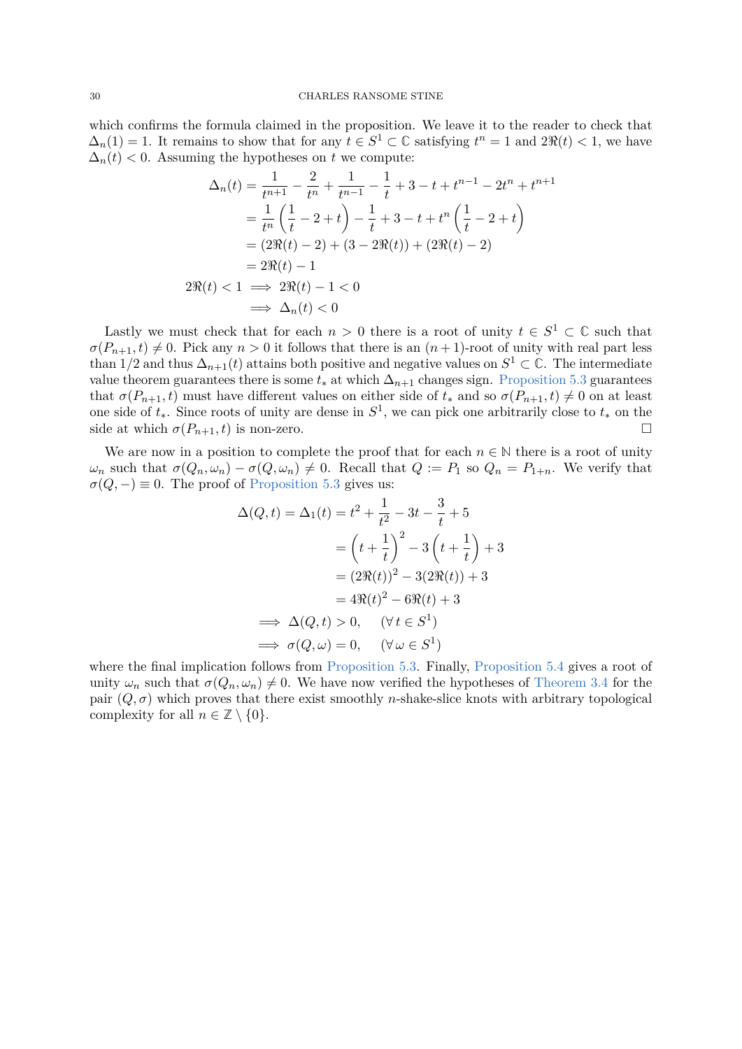which confirms the formula claimed in the proposition. We leave it to the reader to check that  $\Delta_n(1) = 1$ . It remains to show that for any  $t \in S^1 \subset \mathbb{C}$  satisfying  $t^n = 1$  and  $2\Re(t) < 1$ , we have  $\Delta_n(t)$  < 0. Assuming the hypotheses on *t* we compute:

$$
\Delta_n(t) = \frac{1}{t^{n+1}} - \frac{2}{t^n} + \frac{1}{t^{n-1}} - \frac{1}{t} + 3 - t + t^{n-1} - 2t^n + t^{n+1}
$$
  
=  $\frac{1}{t^n} \left(\frac{1}{t} - 2 + t\right) - \frac{1}{t} + 3 - t + t^n \left(\frac{1}{t} - 2 + t\right)$   
=  $(2\Re(t) - 2) + (3 - 2\Re(t)) + (2\Re(t) - 2)$   
=  $2\Re(t) - 1$   
 $2\Re(t) < 1 \implies 2\Re(t) - 1 < 0$   
 $\implies \Delta_n(t) < 0$ 

Lastly we must check that for each  $n > 0$  there is a root of unity  $t \in S^1 \subset \mathbb{C}$  such that  $\sigma(P_{n+1}, t) \neq 0$ . Pick any  $n > 0$  it follows that there is an  $(n+1)$ -root of unity with real part less than 1/2 and thus  $\Delta_{n+1}(t)$  attains both positive and negative values on  $S^1 \subset \mathbb{C}$ . The intermediate value theorem guarantees there is some  $t_*$  at which  $\Delta_{n+1}$  changes sign. [Proposition 5.3](#page-25-0) guarantees that  $\sigma(P_{n+1}, t)$  must have different values on either side of  $t_*$  and so  $\sigma(P_{n+1}, t) \neq 0$  on at least one side of *t*∗. Since roots of unity are dense in *S* 1 , we can pick one arbitrarily close to *t*<sup>∗</sup> on the side at which  $\sigma(P_{n+1}, t)$  is non-zero.

We are now in a position to complete the proof that for each  $n \in \mathbb{N}$  there is a root of unity  $\omega_n$  such that  $\sigma(Q_n, \omega_n) - \sigma(Q, \omega_n) \neq 0$ . Recall that  $Q := P_1$  so  $Q_n = P_{1+n}$ . We verify that  $\sigma(Q, -) \equiv 0$ . The proof of [Proposition 5.3](#page-25-0) gives us:

$$
\Delta(Q, t) = \Delta_1(t) = t^2 + \frac{1}{t^2} - 3t - \frac{3}{t} + 5
$$
  
= 
$$
\left(t + \frac{1}{t}\right)^2 - 3\left(t + \frac{1}{t}\right) + 3
$$
  
= 
$$
(2\Re(t))^2 - 3(2\Re(t)) + 3
$$
  
= 
$$
4\Re(t)^2 - 6\Re(t) + 3
$$
  

$$
\implies \Delta(Q, t) > 0, \quad (\forall t \in S^1)
$$
  

$$
\implies \sigma(Q, \omega) = 0, \quad (\forall \omega \in S^1)
$$

where the final implication follows from [Proposition 5.3.](#page-25-0) Finally, [Proposition 5.4](#page-26-0) gives a root of unity  $\omega_n$  such that  $\sigma(Q_n, \omega_n) \neq 0$ . We have now verified the hypotheses of [Theorem 3.4](#page-14-0) for the pair  $(Q, \sigma)$  which proves that there exist smoothly *n*-shake-slice knots with arbitrary topological complexity for all  $n \in \mathbb{Z} \setminus \{0\}.$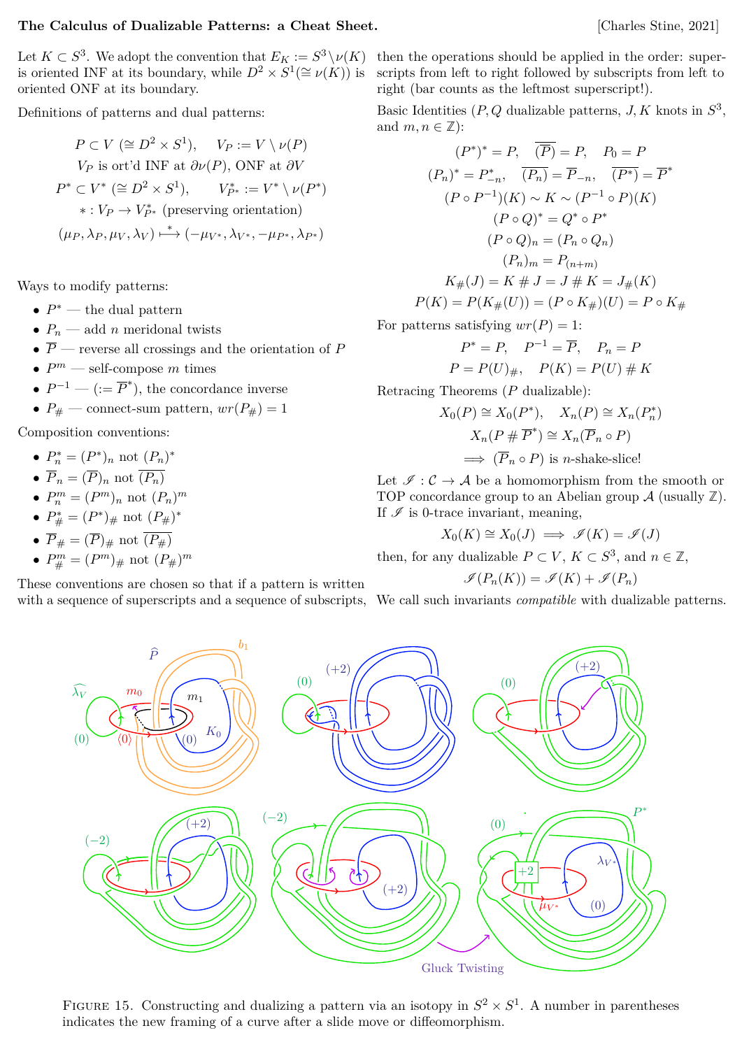# <span id="page-30-0"></span>**The Calculus of Dualizable Patterns: a Cheat Sheet.** [Charles Stine, 2021]

Let  $K \subset S^3$ . We adopt the convention that  $E_K := S^3 \setminus \nu(K)$ is oriented INF at its boundary, while  $D^2 \times S^1(\cong \nu(K))$  is oriented ONF at its boundary.

Definitions of patterns and dual patterns:

$$
P \subset V \ (\cong D^2 \times S^1), \quad V_P := V \setminus \nu(P)
$$
  
\n
$$
V_P \text{ is ort'd INF at } \partial \nu(P), \text{ ONF at } \partial V
$$
  
\n
$$
P^* \subset V^* \ (\cong D^2 \times S^1), \quad V_{P^*}^* := V^* \setminus \nu(P^*)
$$
  
\n
$$
* : V_P \to V_{P^*}^* \ (\text{preserving orientation})
$$
  
\n
$$
(\mu_P, \lambda_P, \mu_V, \lambda_V) \mapsto (-\mu_{V^*}, \lambda_{V^*}, -\mu_{P^*}, \lambda_{P^*})
$$

Ways to modify patterns:

- *P* <sup>∗</sup> the dual pattern
- $P_n$  add *n* meridonal twists
- $\overline{P}$  reverse all crossings and the orientation of  $P$
- $P^m$  self-compose  $m$  times
- $P^{-1}$  ( $:= \overline{P}^*$ ), the concordance inverse
- $P_{\#}$  connect-sum pattern,  $wr(P_{\#}) = 1$

Composition conventions:

- $P_n^* = (P^*)_n$  not  $(P_n)^*$
- $\overline{P}_n = (\overline{P})_n$  not  $\overline{(P_n)}$
- $P_n^m = (P^m)_n$  not  $(P_n)^m$
- $P_{\#}^* = (P^*)_{\#}$  not  $(P_{\#})^*$
- $\overline{P}_{\#} = (\overline{P})_{\#}$  not  $\overline{(P_{\#})}$

• 
$$
P_{\#}^{m} = (P^{m})_{\#}
$$
 not  $(P_{\#})^{m}$ 

These conventions are chosen so that if a pattern is written with a sequence of superscripts and a sequence of subscripts,

then the operations should be applied in the order: superscripts from left to right followed by subscripts from left to right (bar counts as the leftmost superscript!).

Basic Identities  $(P, Q \text{ dualizable patterns}, J, K \text{ knots in } S^3$ , and  $m, n \in \mathbb{Z}$ :

$$
(P^*)^* = P, \quad \overline{(P)} = P, \quad P_0 = P
$$
  
\n
$$
(P_n)^* = P_{-n}^*, \quad \overline{(P_n)} = \overline{P}_{-n}, \quad \overline{(P^*)} = \overline{P}^*
$$
  
\n
$$
(P \circ P^{-1})(K) \sim K \sim (P^{-1} \circ P)(K)
$$
  
\n
$$
(P \circ Q)^* = Q^* \circ P^*
$$
  
\n
$$
(P \circ Q)_n = (P_n \circ Q_n)
$$
  
\n
$$
(P_n)_m = P_{(n+m)}
$$
  
\n
$$
K_{\#}(J) = K \# J = J \# K = J_{\#}(K)
$$
  
\n
$$
P(K) = P(K_{\#}(U)) = (P \circ K_{\#})(U) = P \circ K_{\#}
$$

For patterns satisfying  $wr(P) = 1$ :

$$
P^* = P, \quad P^{-1} = \overline{P}, \quad P_n = P
$$

$$
P = P(U)_{\#}, \quad P(K) = P(U) \# K
$$

Retracing Theorems (*P* dualizable):

$$
X_0(P) \cong X_0(P^*), \quad X_n(P) \cong X_n(P_n^*)
$$

$$
X_n(P \# \overline{P}^*) \cong X_n(\overline{P}_n \circ P)
$$

$$
\implies (\overline{P}_n \circ P) \text{ is } n\text{-shake-slice!}
$$

Let  $\mathcal{I}: \mathcal{C} \to \mathcal{A}$  be a homomorphism from the smooth or TOP concordance group to an Abelian group A (usually **Z**). If  $\mathscr I$  is 0-trace invariant, meaning,

$$
X_0(K) \cong X_0(J) \implies \mathscr{I}(K) = \mathscr{I}(J)
$$

then, for any dualizable  $P \subset V$ ,  $K \subset S^3$ , and  $n \in \mathbb{Z}$ ,

$$
\mathscr{I}(P_n(K)) = \mathscr{I}(K) + \mathscr{I}(P_n)
$$

We call such invariants *compatible* with dualizable patterns.



FIGURE 15. Constructing and dualizing a pattern via an isotopy in  $S^2 \times S^1$ . A number in parentheses indicates the new framing of a curve after a slide move or diffeomorphism.